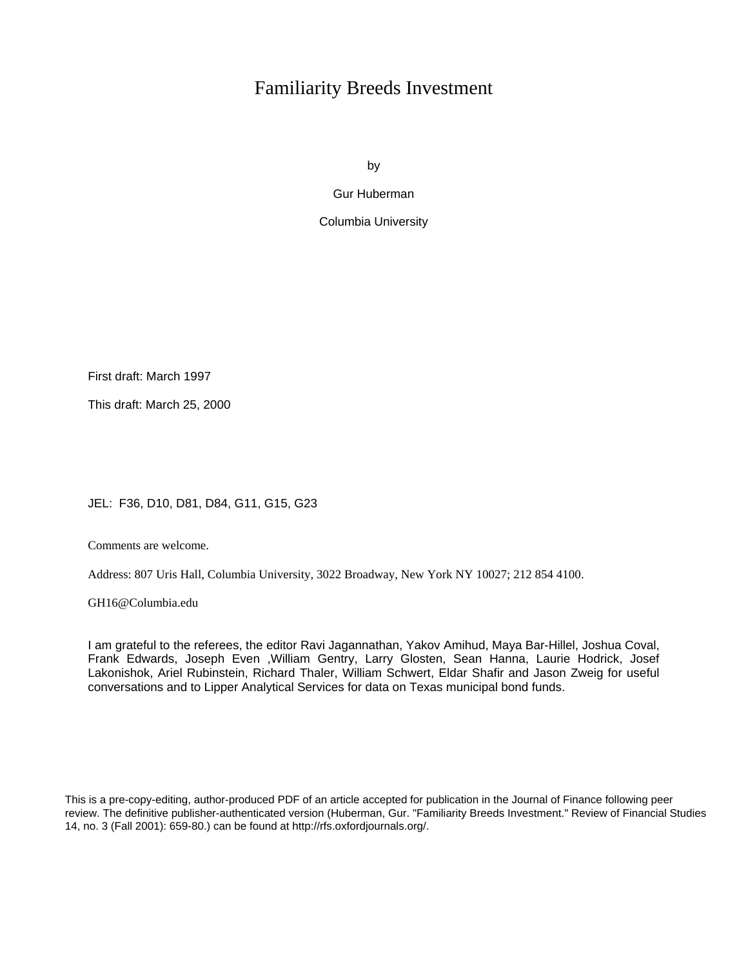# Familiarity Breeds Investment

by

Gur Huberman

Columbia University

First draft: March 1997

This draft: March 25, 2000

JEL: F36, D10, D81, D84, G11, G15, G23

Comments are welcome.

Address: 807 Uris Hall, Columbia University, 3022 Broadway, New York NY 10027; 212 854 4100.

GH16@Columbia.edu

I am grateful to the referees, the editor Ravi Jagannathan, Yakov Amihud, Maya Bar-Hillel, Joshua Coval, Frank Edwards, Joseph Even ,William Gentry, Larry Glosten, Sean Hanna, Laurie Hodrick, Josef Lakonishok, Ariel Rubinstein, Richard Thaler, William Schwert, Eldar Shafir and Jason Zweig for useful conversations and to Lipper Analytical Services for data on Texas municipal bond funds.

This is a pre-copy-editing, author-produced PDF of an article accepted for publication in the Journal of Finance following peer review. The definitive publisher-authenticated version (Huberman, Gur. "Familiarity Breeds Investment." Review of Financial Studies 14, no. 3 (Fall 2001): 659-80.) can be found at http://rfs.oxfordjournals.org/.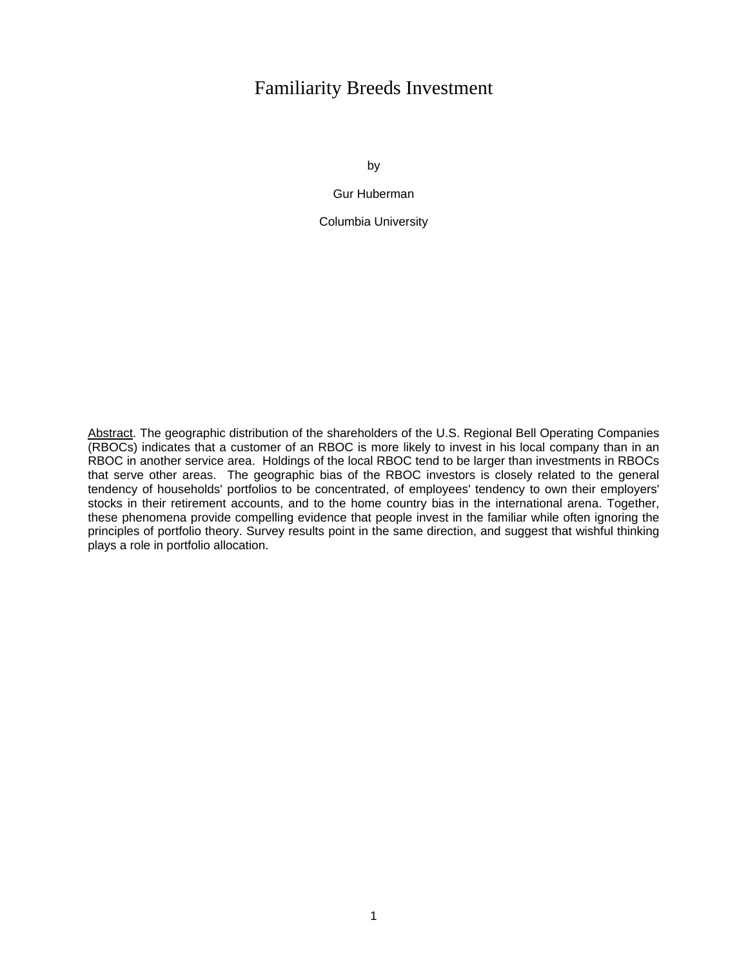# Familiarity Breeds Investment

by

Gur Huberman

Columbia University

Abstract. The geographic distribution of the shareholders of the U.S. Regional Bell Operating Companies (RBOCs) indicates that a customer of an RBOC is more likely to invest in his local company than in an RBOC in another service area. Holdings of the local RBOC tend to be larger than investments in RBOCs that serve other areas. The geographic bias of the RBOC investors is closely related to the general tendency of households' portfolios to be concentrated, of employees' tendency to own their employers' stocks in their retirement accounts, and to the home country bias in the international arena. Together, these phenomena provide compelling evidence that people invest in the familiar while often ignoring the principles of portfolio theory. Survey results point in the same direction, and suggest that wishful thinking plays a role in portfolio allocation.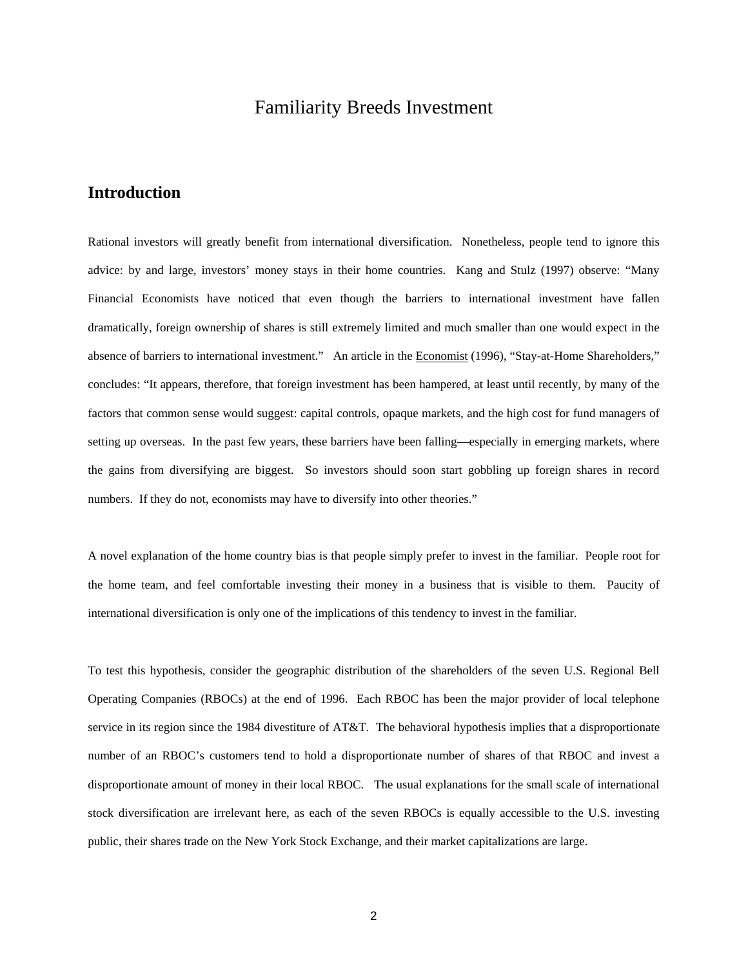# Familiarity Breeds Investment

# **Introduction**

Rational investors will greatly benefit from international diversification. Nonetheless, people tend to ignore this advice: by and large, investors' money stays in their home countries. Kang and Stulz (1997) observe: "Many Financial Economists have noticed that even though the barriers to international investment have fallen dramatically, foreign ownership of shares is still extremely limited and much smaller than one would expect in the absence of barriers to international investment." An article in the Economist (1996), "Stay-at-Home Shareholders," concludes: "It appears, therefore, that foreign investment has been hampered, at least until recently, by many of the factors that common sense would suggest: capital controls, opaque markets, and the high cost for fund managers of setting up overseas. In the past few years, these barriers have been falling—especially in emerging markets, where the gains from diversifying are biggest. So investors should soon start gobbling up foreign shares in record numbers. If they do not, economists may have to diversify into other theories."

A novel explanation of the home country bias is that people simply prefer to invest in the familiar. People root for the home team, and feel comfortable investing their money in a business that is visible to them. Paucity of international diversification is only one of the implications of this tendency to invest in the familiar.

To test this hypothesis, consider the geographic distribution of the shareholders of the seven U.S. Regional Bell Operating Companies (RBOCs) at the end of 1996. Each RBOC has been the major provider of local telephone service in its region since the 1984 divestiture of AT&T. The behavioral hypothesis implies that a disproportionate number of an RBOC's customers tend to hold a disproportionate number of shares of that RBOC and invest a disproportionate amount of money in their local RBOC. The usual explanations for the small scale of international stock diversification are irrelevant here, as each of the seven RBOCs is equally accessible to the U.S. investing public, their shares trade on the New York Stock Exchange, and their market capitalizations are large.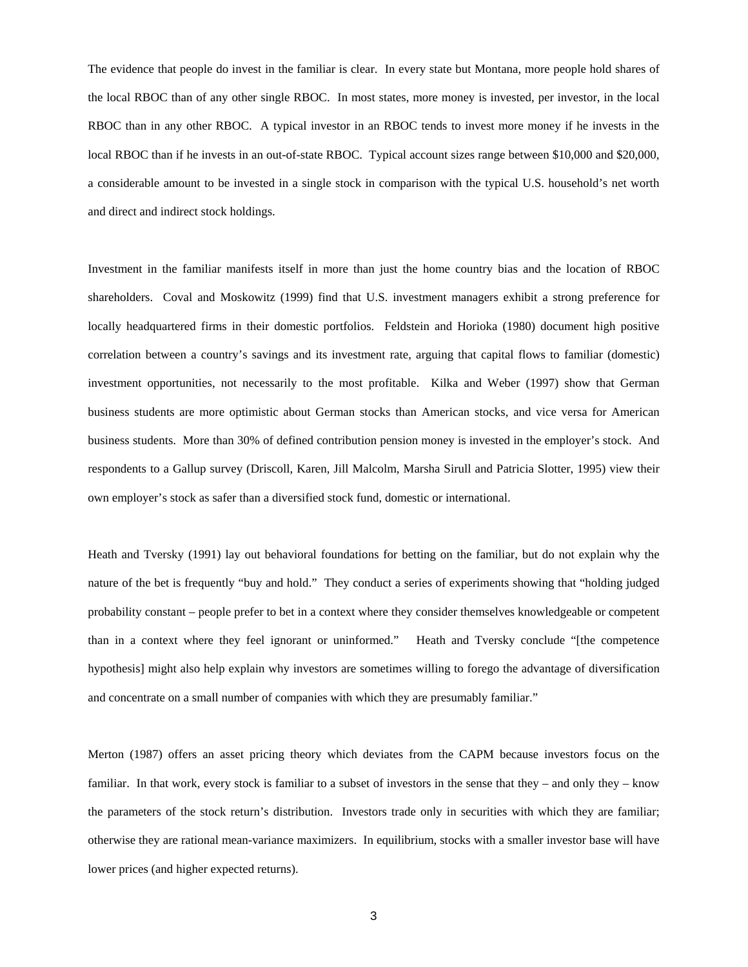The evidence that people do invest in the familiar is clear. In every state but Montana, more people hold shares of the local RBOC than of any other single RBOC. In most states, more money is invested, per investor, in the local RBOC than in any other RBOC. A typical investor in an RBOC tends to invest more money if he invests in the local RBOC than if he invests in an out-of-state RBOC. Typical account sizes range between \$10,000 and \$20,000, a considerable amount to be invested in a single stock in comparison with the typical U.S. household's net worth and direct and indirect stock holdings.

Investment in the familiar manifests itself in more than just the home country bias and the location of RBOC shareholders. Coval and Moskowitz (1999) find that U.S. investment managers exhibit a strong preference for locally headquartered firms in their domestic portfolios. Feldstein and Horioka (1980) document high positive correlation between a country's savings and its investment rate, arguing that capital flows to familiar (domestic) investment opportunities, not necessarily to the most profitable. Kilka and Weber (1997) show that German business students are more optimistic about German stocks than American stocks, and vice versa for American business students. More than 30% of defined contribution pension money is invested in the employer's stock. And respondents to a Gallup survey (Driscoll, Karen, Jill Malcolm, Marsha Sirull and Patricia Slotter, 1995) view their own employer's stock as safer than a diversified stock fund, domestic or international.

Heath and Tversky (1991) lay out behavioral foundations for betting on the familiar, but do not explain why the nature of the bet is frequently "buy and hold." They conduct a series of experiments showing that "holding judged probability constant – people prefer to bet in a context where they consider themselves knowledgeable or competent than in a context where they feel ignorant or uninformed." Heath and Tversky conclude "[the competence hypothesis] might also help explain why investors are sometimes willing to forego the advantage of diversification and concentrate on a small number of companies with which they are presumably familiar."

Merton (1987) offers an asset pricing theory which deviates from the CAPM because investors focus on the familiar. In that work, every stock is familiar to a subset of investors in the sense that they – and only they – know the parameters of the stock return's distribution. Investors trade only in securities with which they are familiar; otherwise they are rational mean-variance maximizers. In equilibrium, stocks with a smaller investor base will have lower prices (and higher expected returns).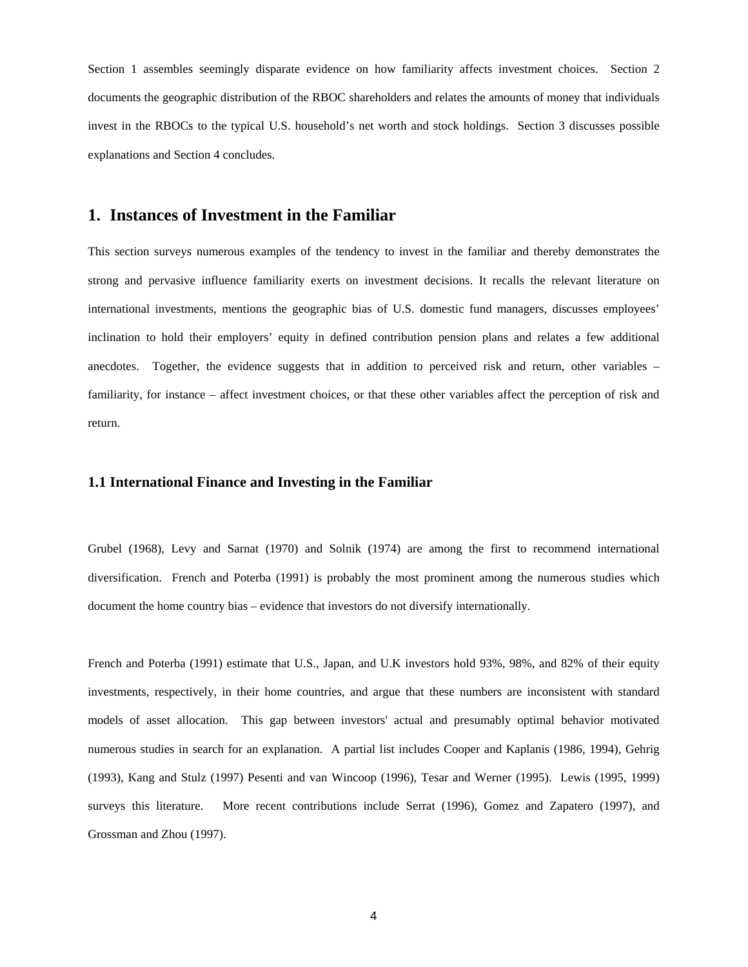Section 1 assembles seemingly disparate evidence on how familiarity affects investment choices. Section 2 documents the geographic distribution of the RBOC shareholders and relates the amounts of money that individuals invest in the RBOCs to the typical U.S. household's net worth and stock holdings. Section 3 discusses possible explanations and Section 4 concludes.

## **1. Instances of Investment in the Familiar**

This section surveys numerous examples of the tendency to invest in the familiar and thereby demonstrates the strong and pervasive influence familiarity exerts on investment decisions. It recalls the relevant literature on international investments, mentions the geographic bias of U.S. domestic fund managers, discusses employees' inclination to hold their employers' equity in defined contribution pension plans and relates a few additional anecdotes. Together, the evidence suggests that in addition to perceived risk and return, other variables – familiarity, for instance – affect investment choices, or that these other variables affect the perception of risk and return.

#### **1.1 International Finance and Investing in the Familiar**

Grubel (1968), Levy and Sarnat (1970) and Solnik (1974) are among the first to recommend international diversification. French and Poterba (1991) is probably the most prominent among the numerous studies which document the home country bias – evidence that investors do not diversify internationally.

French and Poterba (1991) estimate that U.S., Japan, and U.K investors hold 93%, 98%, and 82% of their equity investments, respectively, in their home countries, and argue that these numbers are inconsistent with standard models of asset allocation. This gap between investors' actual and presumably optimal behavior motivated numerous studies in search for an explanation. A partial list includes Cooper and Kaplanis (1986, 1994), Gehrig (1993), Kang and Stulz (1997) Pesenti and van Wincoop (1996), Tesar and Werner (1995). Lewis (1995, 1999) surveys this literature. More recent contributions include Serrat (1996), Gomez and Zapatero (1997), and Grossman and Zhou (1997).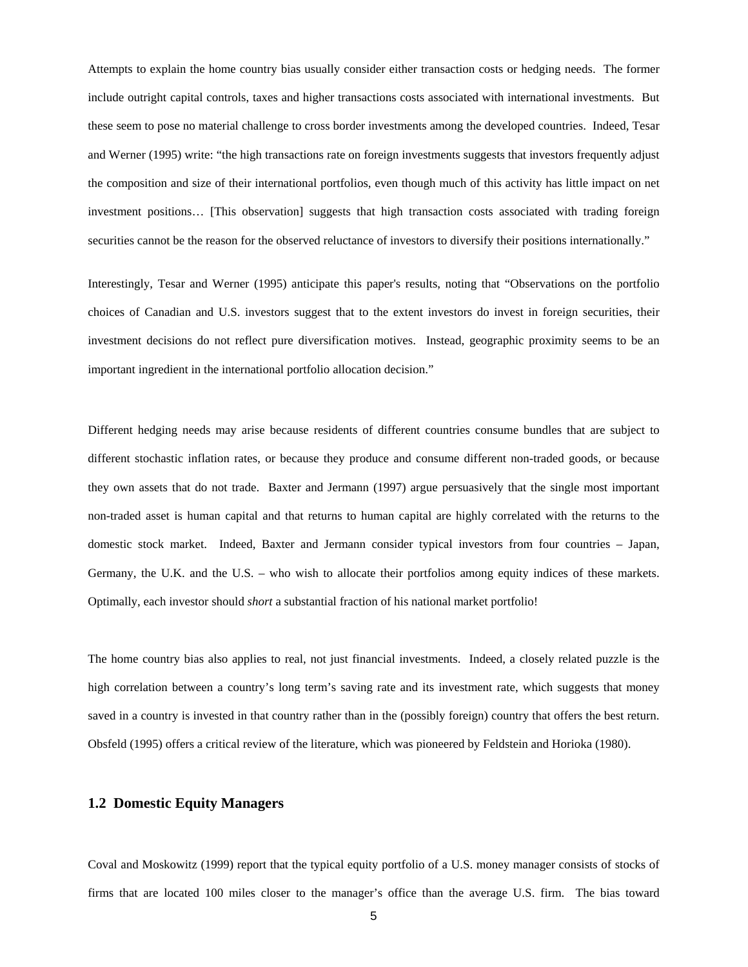Attempts to explain the home country bias usually consider either transaction costs or hedging needs. The former include outright capital controls, taxes and higher transactions costs associated with international investments. But these seem to pose no material challenge to cross border investments among the developed countries. Indeed, Tesar and Werner (1995) write: "the high transactions rate on foreign investments suggests that investors frequently adjust the composition and size of their international portfolios, even though much of this activity has little impact on net investment positions… [This observation] suggests that high transaction costs associated with trading foreign securities cannot be the reason for the observed reluctance of investors to diversify their positions internationally."

Interestingly, Tesar and Werner (1995) anticipate this paper's results, noting that "Observations on the portfolio choices of Canadian and U.S. investors suggest that to the extent investors do invest in foreign securities, their investment decisions do not reflect pure diversification motives. Instead, geographic proximity seems to be an important ingredient in the international portfolio allocation decision."

Different hedging needs may arise because residents of different countries consume bundles that are subject to different stochastic inflation rates, or because they produce and consume different non-traded goods, or because they own assets that do not trade. Baxter and Jermann (1997) argue persuasively that the single most important non-traded asset is human capital and that returns to human capital are highly correlated with the returns to the domestic stock market. Indeed, Baxter and Jermann consider typical investors from four countries – Japan, Germany, the U.K. and the U.S. – who wish to allocate their portfolios among equity indices of these markets. Optimally, each investor should *short* a substantial fraction of his national market portfolio!

The home country bias also applies to real, not just financial investments. Indeed, a closely related puzzle is the high correlation between a country's long term's saving rate and its investment rate, which suggests that money saved in a country is invested in that country rather than in the (possibly foreign) country that offers the best return. Obsfeld (1995) offers a critical review of the literature, which was pioneered by Feldstein and Horioka (1980).

#### **1.2 Domestic Equity Managers**

Coval and Moskowitz (1999) report that the typical equity portfolio of a U.S. money manager consists of stocks of firms that are located 100 miles closer to the manager's office than the average U.S. firm. The bias toward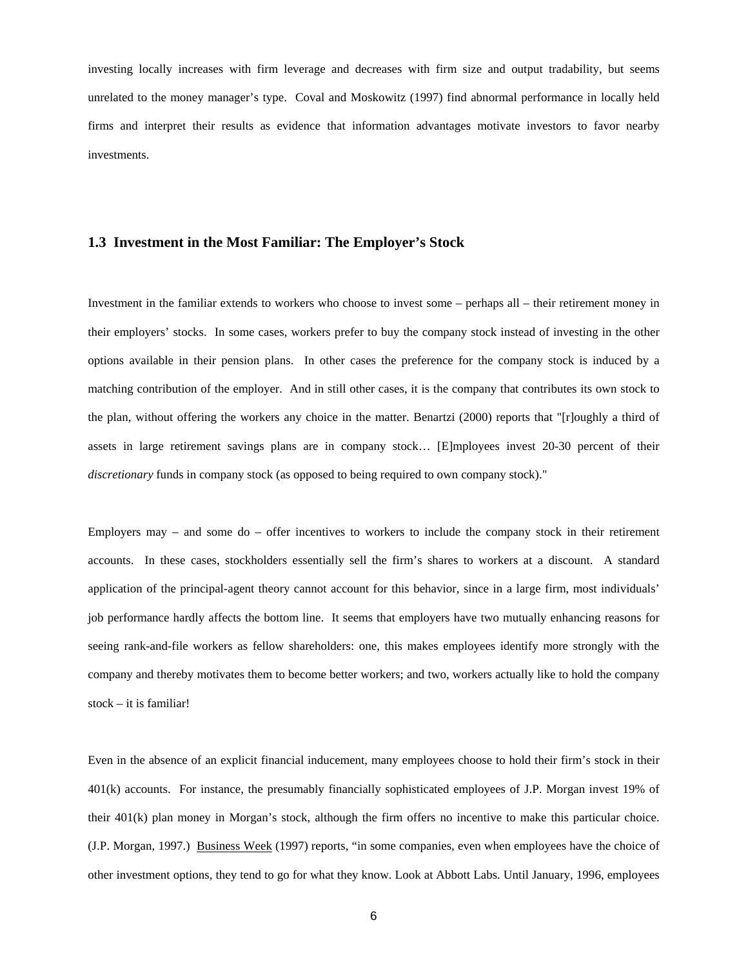investing locally increases with firm leverage and decreases with firm size and output tradability, but seems unrelated to the money manager's type. Coval and Moskowitz (1997) find abnormal performance in locally held firms and interpret their results as evidence that information advantages motivate investors to favor nearby investments.

#### **1.3 Investment in the Most Familiar: The Employer's Stock**

Investment in the familiar extends to workers who choose to invest some – perhaps all – their retirement money in their employers' stocks. In some cases, workers prefer to buy the company stock instead of investing in the other options available in their pension plans. In other cases the preference for the company stock is induced by a matching contribution of the employer. And in still other cases, it is the company that contributes its own stock to the plan, without offering the workers any choice in the matter. Benartzi (2000) reports that "[r]oughly a third of assets in large retirement savings plans are in company stock… [E]mployees invest 20-30 percent of their *discretionary* funds in company stock (as opposed to being required to own company stock)."

Employers may – and some do – offer incentives to workers to include the company stock in their retirement accounts. In these cases, stockholders essentially sell the firm's shares to workers at a discount. A standard application of the principal-agent theory cannot account for this behavior, since in a large firm, most individuals' job performance hardly affects the bottom line. It seems that employers have two mutually enhancing reasons for seeing rank-and-file workers as fellow shareholders: one, this makes employees identify more strongly with the company and thereby motivates them to become better workers; and two, workers actually like to hold the company stock – it is familiar!

Even in the absence of an explicit financial inducement, many employees choose to hold their firm's stock in their 401(k) accounts. For instance, the presumably financially sophisticated employees of J.P. Morgan invest 19% of their 401(k) plan money in Morgan's stock, although the firm offers no incentive to make this particular choice. (J.P. Morgan, 1997.) Business Week (1997) reports, "in some companies, even when employees have the choice of other investment options, they tend to go for what they know. Look at Abbott Labs. Until January, 1996, employees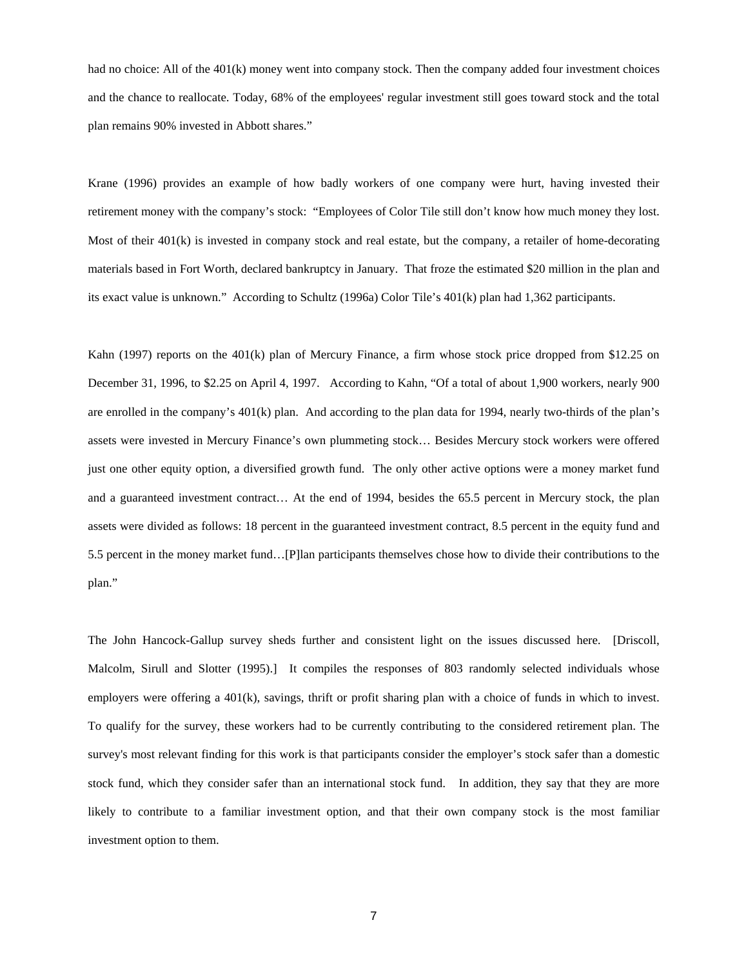had no choice: All of the 401(k) money went into company stock. Then the company added four investment choices and the chance to reallocate. Today, 68% of the employees' regular investment still goes toward stock and the total plan remains 90% invested in Abbott shares."

Krane (1996) provides an example of how badly workers of one company were hurt, having invested their retirement money with the company's stock: "Employees of Color Tile still don't know how much money they lost. Most of their 401(k) is invested in company stock and real estate, but the company, a retailer of home-decorating materials based in Fort Worth, declared bankruptcy in January. That froze the estimated \$20 million in the plan and its exact value is unknown." According to Schultz (1996a) Color Tile's 401(k) plan had 1,362 participants.

Kahn (1997) reports on the 401(k) plan of Mercury Finance, a firm whose stock price dropped from \$12.25 on December 31, 1996, to \$2.25 on April 4, 1997. According to Kahn, "Of a total of about 1,900 workers, nearly 900 are enrolled in the company's 401(k) plan. And according to the plan data for 1994, nearly two-thirds of the plan's assets were invested in Mercury Finance's own plummeting stock… Besides Mercury stock workers were offered just one other equity option, a diversified growth fund. The only other active options were a money market fund and a guaranteed investment contract… At the end of 1994, besides the 65.5 percent in Mercury stock, the plan assets were divided as follows: 18 percent in the guaranteed investment contract, 8.5 percent in the equity fund and 5.5 percent in the money market fund…[P]lan participants themselves chose how to divide their contributions to the plan."

The John Hancock-Gallup survey sheds further and consistent light on the issues discussed here. [Driscoll, Malcolm, Sirull and Slotter (1995).] It compiles the responses of 803 randomly selected individuals whose employers were offering a 401(k), savings, thrift or profit sharing plan with a choice of funds in which to invest. To qualify for the survey, these workers had to be currently contributing to the considered retirement plan. The survey's most relevant finding for this work is that participants consider the employer's stock safer than a domestic stock fund, which they consider safer than an international stock fund. In addition, they say that they are more likely to contribute to a familiar investment option, and that their own company stock is the most familiar investment option to them.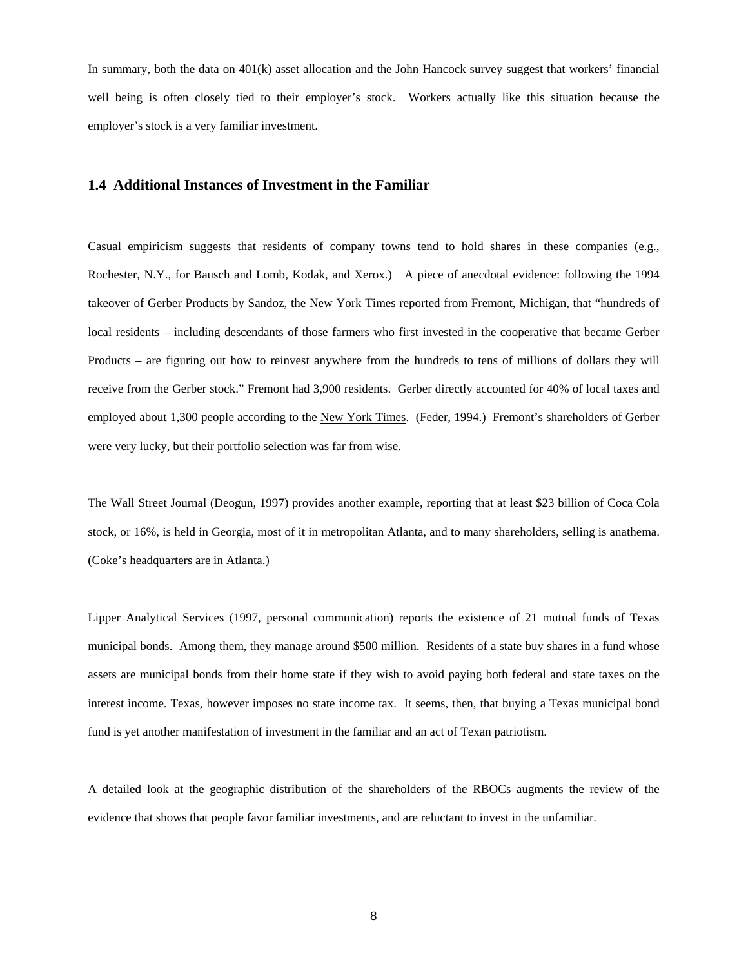In summary, both the data on 401(k) asset allocation and the John Hancock survey suggest that workers' financial well being is often closely tied to their employer's stock. Workers actually like this situation because the employer's stock is a very familiar investment.

### **1.4 Additional Instances of Investment in the Familiar**

Casual empiricism suggests that residents of company towns tend to hold shares in these companies (e.g., Rochester, N.Y., for Bausch and Lomb, Kodak, and Xerox.) A piece of anecdotal evidence: following the 1994 takeover of Gerber Products by Sandoz, the New York Times reported from Fremont, Michigan, that "hundreds of local residents – including descendants of those farmers who first invested in the cooperative that became Gerber Products – are figuring out how to reinvest anywhere from the hundreds to tens of millions of dollars they will receive from the Gerber stock." Fremont had 3,900 residents. Gerber directly accounted for 40% of local taxes and employed about 1,300 people according to the New York Times. (Feder, 1994.) Fremont's shareholders of Gerber were very lucky, but their portfolio selection was far from wise.

The Wall Street Journal (Deogun, 1997) provides another example, reporting that at least \$23 billion of Coca Cola stock, or 16%, is held in Georgia, most of it in metropolitan Atlanta, and to many shareholders, selling is anathema. (Coke's headquarters are in Atlanta.)

Lipper Analytical Services (1997, personal communication) reports the existence of 21 mutual funds of Texas municipal bonds. Among them, they manage around \$500 million. Residents of a state buy shares in a fund whose assets are municipal bonds from their home state if they wish to avoid paying both federal and state taxes on the interest income. Texas, however imposes no state income tax. It seems, then, that buying a Texas municipal bond fund is yet another manifestation of investment in the familiar and an act of Texan patriotism.

A detailed look at the geographic distribution of the shareholders of the RBOCs augments the review of the evidence that shows that people favor familiar investments, and are reluctant to invest in the unfamiliar.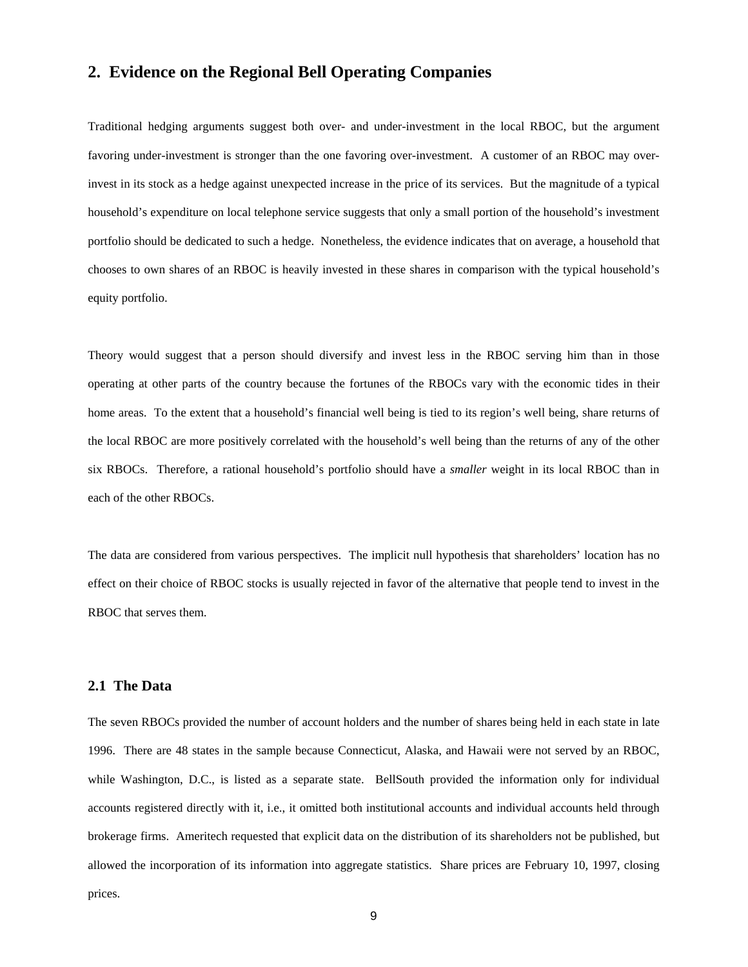## **2. Evidence on the Regional Bell Operating Companies**

Traditional hedging arguments suggest both over- and under-investment in the local RBOC, but the argument favoring under-investment is stronger than the one favoring over-investment. A customer of an RBOC may overinvest in its stock as a hedge against unexpected increase in the price of its services. But the magnitude of a typical household's expenditure on local telephone service suggests that only a small portion of the household's investment portfolio should be dedicated to such a hedge. Nonetheless, the evidence indicates that on average, a household that chooses to own shares of an RBOC is heavily invested in these shares in comparison with the typical household's equity portfolio.

Theory would suggest that a person should diversify and invest less in the RBOC serving him than in those operating at other parts of the country because the fortunes of the RBOCs vary with the economic tides in their home areas. To the extent that a household's financial well being is tied to its region's well being, share returns of the local RBOC are more positively correlated with the household's well being than the returns of any of the other six RBOCs. Therefore, a rational household's portfolio should have a *smaller* weight in its local RBOC than in each of the other RBOCs.

The data are considered from various perspectives. The implicit null hypothesis that shareholders' location has no effect on their choice of RBOC stocks is usually rejected in favor of the alternative that people tend to invest in the RBOC that serves them.

## **2.1 The Data**

The seven RBOCs provided the number of account holders and the number of shares being held in each state in late 1996. There are 48 states in the sample because Connecticut, Alaska, and Hawaii were not served by an RBOC, while Washington, D.C., is listed as a separate state. BellSouth provided the information only for individual accounts registered directly with it, i.e., it omitted both institutional accounts and individual accounts held through brokerage firms. Ameritech requested that explicit data on the distribution of its shareholders not be published, but allowed the incorporation of its information into aggregate statistics. Share prices are February 10, 1997, closing prices.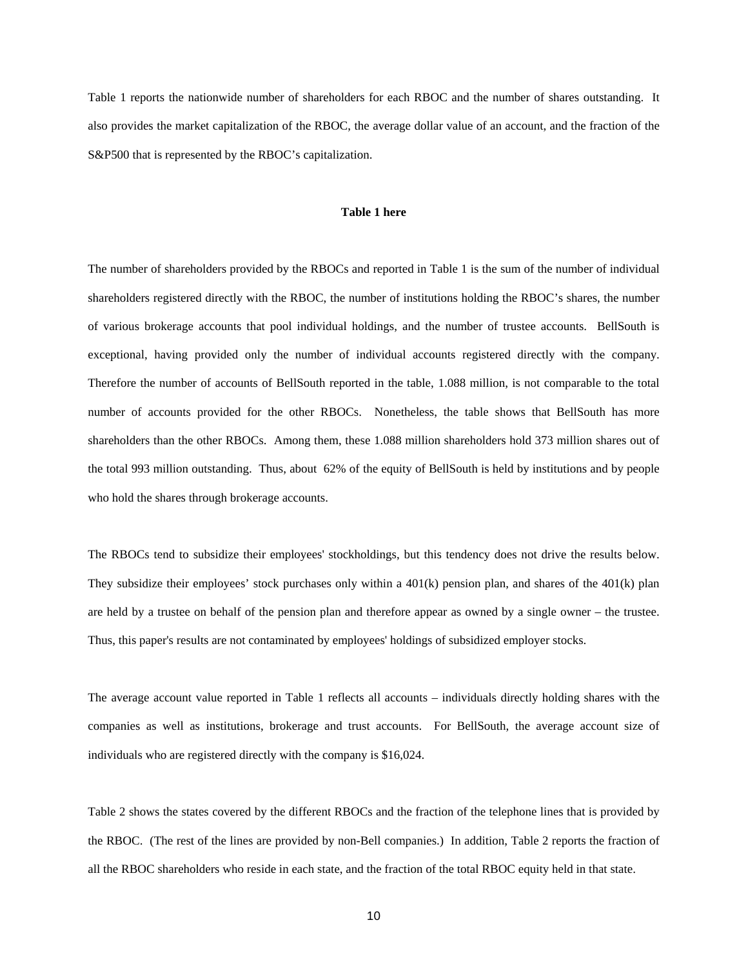Table 1 reports the nationwide number of shareholders for each RBOC and the number of shares outstanding. It also provides the market capitalization of the RBOC, the average dollar value of an account, and the fraction of the S&P500 that is represented by the RBOC's capitalization.

#### **Table 1 here**

The number of shareholders provided by the RBOCs and reported in Table 1 is the sum of the number of individual shareholders registered directly with the RBOC, the number of institutions holding the RBOC's shares, the number of various brokerage accounts that pool individual holdings, and the number of trustee accounts. BellSouth is exceptional, having provided only the number of individual accounts registered directly with the company. Therefore the number of accounts of BellSouth reported in the table, 1.088 million, is not comparable to the total number of accounts provided for the other RBOCs. Nonetheless, the table shows that BellSouth has more shareholders than the other RBOCs. Among them, these 1.088 million shareholders hold 373 million shares out of the total 993 million outstanding. Thus, about 62% of the equity of BellSouth is held by institutions and by people who hold the shares through brokerage accounts.

The RBOCs tend to subsidize their employees' stockholdings, but this tendency does not drive the results below. They subsidize their employees' stock purchases only within a 401(k) pension plan, and shares of the 401(k) plan are held by a trustee on behalf of the pension plan and therefore appear as owned by a single owner – the trustee. Thus, this paper's results are not contaminated by employees' holdings of subsidized employer stocks.

The average account value reported in Table 1 reflects all accounts – individuals directly holding shares with the companies as well as institutions, brokerage and trust accounts. For BellSouth, the average account size of individuals who are registered directly with the company is \$16,024.

Table 2 shows the states covered by the different RBOCs and the fraction of the telephone lines that is provided by the RBOC. (The rest of the lines are provided by non-Bell companies.) In addition, Table 2 reports the fraction of all the RBOC shareholders who reside in each state, and the fraction of the total RBOC equity held in that state.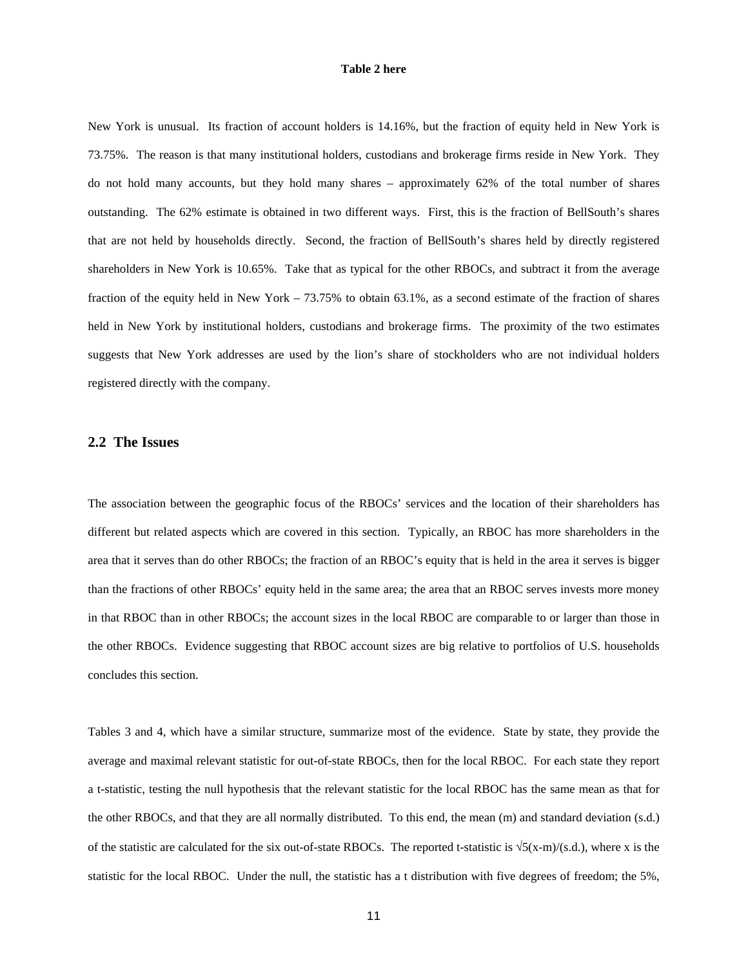#### **Table 2 here**

New York is unusual. Its fraction of account holders is 14.16%, but the fraction of equity held in New York is 73.75%. The reason is that many institutional holders, custodians and brokerage firms reside in New York. They do not hold many accounts, but they hold many shares – approximately 62% of the total number of shares outstanding. The 62% estimate is obtained in two different ways. First, this is the fraction of BellSouth's shares that are not held by households directly. Second, the fraction of BellSouth's shares held by directly registered shareholders in New York is 10.65%. Take that as typical for the other RBOCs, and subtract it from the average fraction of the equity held in New York – 73.75% to obtain 63.1%, as a second estimate of the fraction of shares held in New York by institutional holders, custodians and brokerage firms. The proximity of the two estimates suggests that New York addresses are used by the lion's share of stockholders who are not individual holders registered directly with the company.

#### **2.2 The Issues**

The association between the geographic focus of the RBOCs' services and the location of their shareholders has different but related aspects which are covered in this section. Typically, an RBOC has more shareholders in the area that it serves than do other RBOCs; the fraction of an RBOC's equity that is held in the area it serves is bigger than the fractions of other RBOCs' equity held in the same area; the area that an RBOC serves invests more money in that RBOC than in other RBOCs; the account sizes in the local RBOC are comparable to or larger than those in the other RBOCs. Evidence suggesting that RBOC account sizes are big relative to portfolios of U.S. households concludes this section.

Tables 3 and 4, which have a similar structure, summarize most of the evidence. State by state, they provide the average and maximal relevant statistic for out-of-state RBOCs, then for the local RBOC. For each state they report a t-statistic, testing the null hypothesis that the relevant statistic for the local RBOC has the same mean as that for the other RBOCs, and that they are all normally distributed. To this end, the mean (m) and standard deviation (s.d.) of the statistic are calculated for the six out-of-state RBOCs. The reported t-statistic is  $\sqrt{5(x-m)/(s.d.)}$ , where x is the statistic for the local RBOC. Under the null, the statistic has a t distribution with five degrees of freedom; the 5%,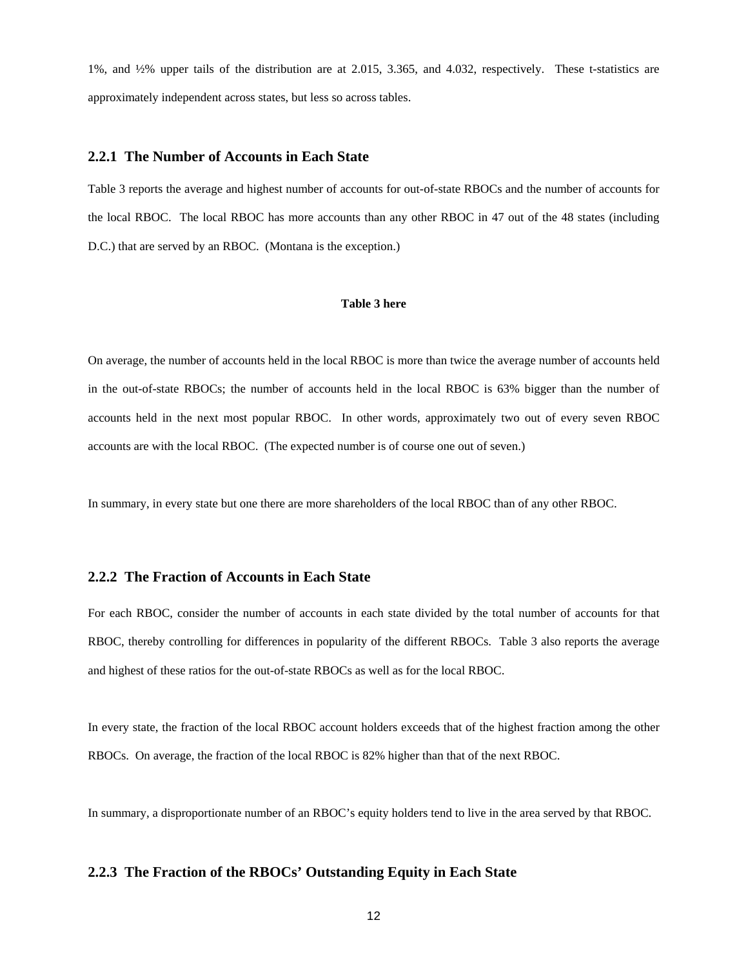1%, and ½% upper tails of the distribution are at 2.015, 3.365, and 4.032, respectively. These t-statistics are approximately independent across states, but less so across tables.

#### **2.2.1 The Number of Accounts in Each State**

Table 3 reports the average and highest number of accounts for out-of-state RBOCs and the number of accounts for the local RBOC. The local RBOC has more accounts than any other RBOC in 47 out of the 48 states (including D.C.) that are served by an RBOC. (Montana is the exception.)

#### **Table 3 here**

On average, the number of accounts held in the local RBOC is more than twice the average number of accounts held in the out-of-state RBOCs; the number of accounts held in the local RBOC is 63% bigger than the number of accounts held in the next most popular RBOC. In other words, approximately two out of every seven RBOC accounts are with the local RBOC. (The expected number is of course one out of seven.)

In summary, in every state but one there are more shareholders of the local RBOC than of any other RBOC.

#### **2.2.2 The Fraction of Accounts in Each State**

For each RBOC, consider the number of accounts in each state divided by the total number of accounts for that RBOC, thereby controlling for differences in popularity of the different RBOCs. Table 3 also reports the average and highest of these ratios for the out-of-state RBOCs as well as for the local RBOC.

In every state, the fraction of the local RBOC account holders exceeds that of the highest fraction among the other RBOCs. On average, the fraction of the local RBOC is 82% higher than that of the next RBOC.

In summary, a disproportionate number of an RBOC's equity holders tend to live in the area served by that RBOC.

#### **2.2.3 The Fraction of the RBOCs' Outstanding Equity in Each State**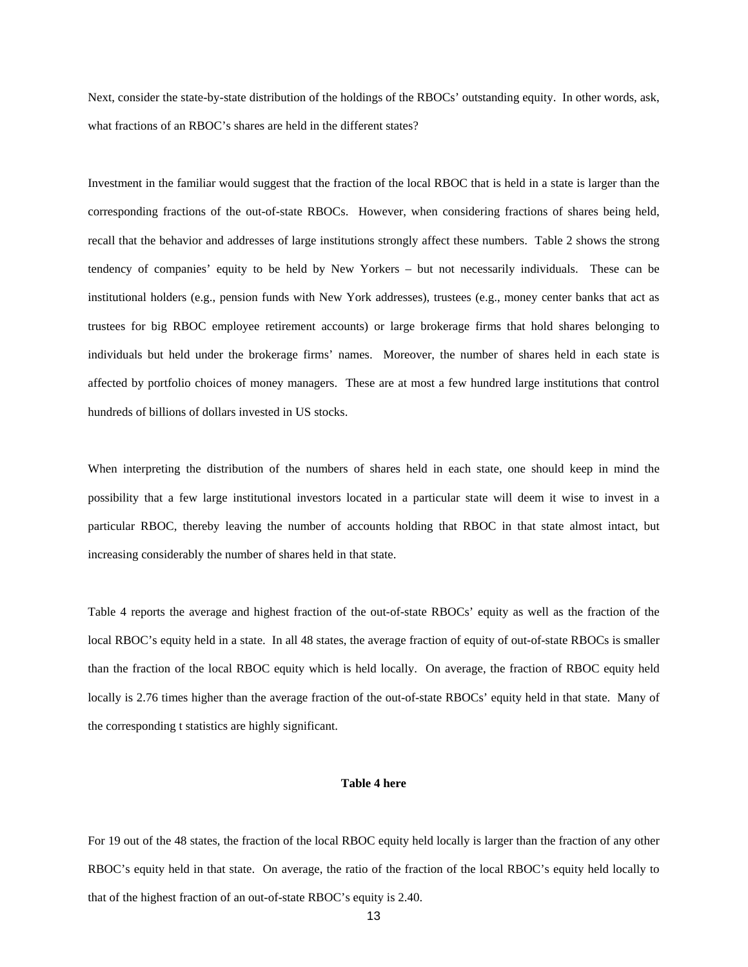Next, consider the state-by-state distribution of the holdings of the RBOCs' outstanding equity. In other words, ask, what fractions of an RBOC's shares are held in the different states?

Investment in the familiar would suggest that the fraction of the local RBOC that is held in a state is larger than the corresponding fractions of the out-of-state RBOCs. However, when considering fractions of shares being held, recall that the behavior and addresses of large institutions strongly affect these numbers. Table 2 shows the strong tendency of companies' equity to be held by New Yorkers – but not necessarily individuals. These can be institutional holders (e.g., pension funds with New York addresses), trustees (e.g., money center banks that act as trustees for big RBOC employee retirement accounts) or large brokerage firms that hold shares belonging to individuals but held under the brokerage firms' names. Moreover, the number of shares held in each state is affected by portfolio choices of money managers. These are at most a few hundred large institutions that control hundreds of billions of dollars invested in US stocks.

When interpreting the distribution of the numbers of shares held in each state, one should keep in mind the possibility that a few large institutional investors located in a particular state will deem it wise to invest in a particular RBOC, thereby leaving the number of accounts holding that RBOC in that state almost intact, but increasing considerably the number of shares held in that state.

Table 4 reports the average and highest fraction of the out-of-state RBOCs' equity as well as the fraction of the local RBOC's equity held in a state. In all 48 states, the average fraction of equity of out-of-state RBOCs is smaller than the fraction of the local RBOC equity which is held locally. On average, the fraction of RBOC equity held locally is 2.76 times higher than the average fraction of the out-of-state RBOCs' equity held in that state. Many of the corresponding t statistics are highly significant.

#### **Table 4 here**

For 19 out of the 48 states, the fraction of the local RBOC equity held locally is larger than the fraction of any other RBOC's equity held in that state. On average, the ratio of the fraction of the local RBOC's equity held locally to that of the highest fraction of an out-of-state RBOC's equity is 2.40.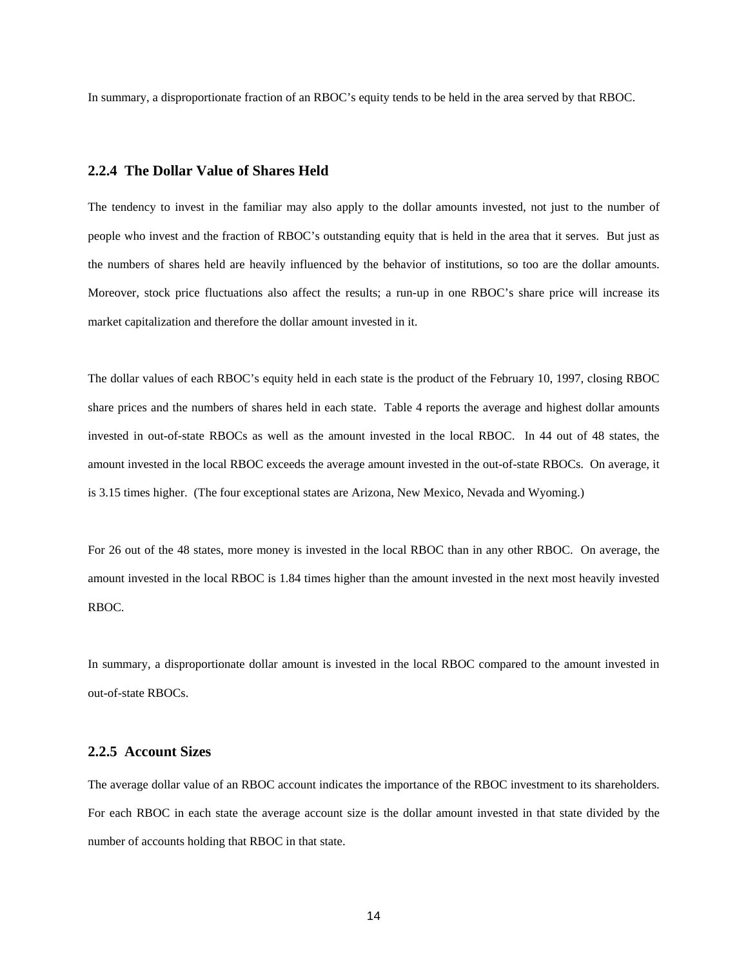In summary, a disproportionate fraction of an RBOC's equity tends to be held in the area served by that RBOC.

#### **2.2.4 The Dollar Value of Shares Held**

The tendency to invest in the familiar may also apply to the dollar amounts invested, not just to the number of people who invest and the fraction of RBOC's outstanding equity that is held in the area that it serves. But just as the numbers of shares held are heavily influenced by the behavior of institutions, so too are the dollar amounts. Moreover, stock price fluctuations also affect the results; a run-up in one RBOC's share price will increase its market capitalization and therefore the dollar amount invested in it.

The dollar values of each RBOC's equity held in each state is the product of the February 10, 1997, closing RBOC share prices and the numbers of shares held in each state. Table 4 reports the average and highest dollar amounts invested in out-of-state RBOCs as well as the amount invested in the local RBOC. In 44 out of 48 states, the amount invested in the local RBOC exceeds the average amount invested in the out-of-state RBOCs. On average, it is 3.15 times higher. (The four exceptional states are Arizona, New Mexico, Nevada and Wyoming.)

For 26 out of the 48 states, more money is invested in the local RBOC than in any other RBOC. On average, the amount invested in the local RBOC is 1.84 times higher than the amount invested in the next most heavily invested RBOC.

In summary, a disproportionate dollar amount is invested in the local RBOC compared to the amount invested in out-of-state RBOCs.

#### **2.2.5 Account Sizes**

The average dollar value of an RBOC account indicates the importance of the RBOC investment to its shareholders. For each RBOC in each state the average account size is the dollar amount invested in that state divided by the number of accounts holding that RBOC in that state.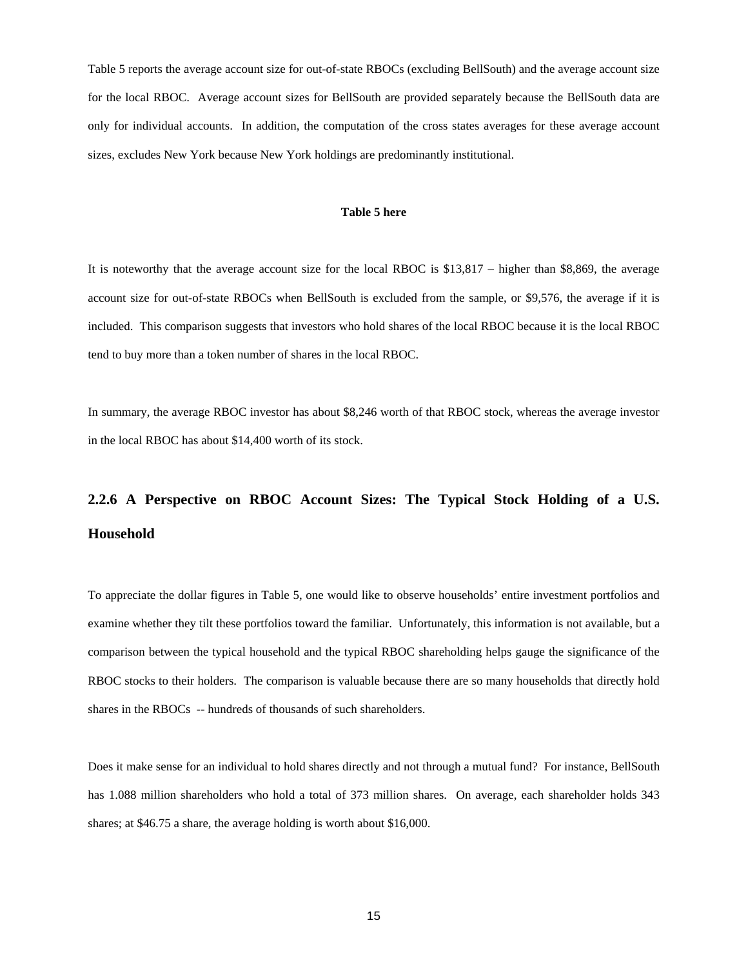Table 5 reports the average account size for out-of-state RBOCs (excluding BellSouth) and the average account size for the local RBOC. Average account sizes for BellSouth are provided separately because the BellSouth data are only for individual accounts. In addition, the computation of the cross states averages for these average account sizes, excludes New York because New York holdings are predominantly institutional.

#### **Table 5 here**

It is noteworthy that the average account size for the local RBOC is \$13,817 – higher than \$8,869, the average account size for out-of-state RBOCs when BellSouth is excluded from the sample, or \$9,576, the average if it is included. This comparison suggests that investors who hold shares of the local RBOC because it is the local RBOC tend to buy more than a token number of shares in the local RBOC.

In summary, the average RBOC investor has about \$8,246 worth of that RBOC stock, whereas the average investor in the local RBOC has about \$14,400 worth of its stock.

# **2.2.6 A Perspective on RBOC Account Sizes: The Typical Stock Holding of a U.S. Household**

To appreciate the dollar figures in Table 5, one would like to observe households' entire investment portfolios and examine whether they tilt these portfolios toward the familiar. Unfortunately, this information is not available, but a comparison between the typical household and the typical RBOC shareholding helps gauge the significance of the RBOC stocks to their holders. The comparison is valuable because there are so many households that directly hold shares in the RBOCs -- hundreds of thousands of such shareholders.

Does it make sense for an individual to hold shares directly and not through a mutual fund? For instance, BellSouth has 1.088 million shareholders who hold a total of 373 million shares. On average, each shareholder holds 343 shares; at \$46.75 a share, the average holding is worth about \$16,000.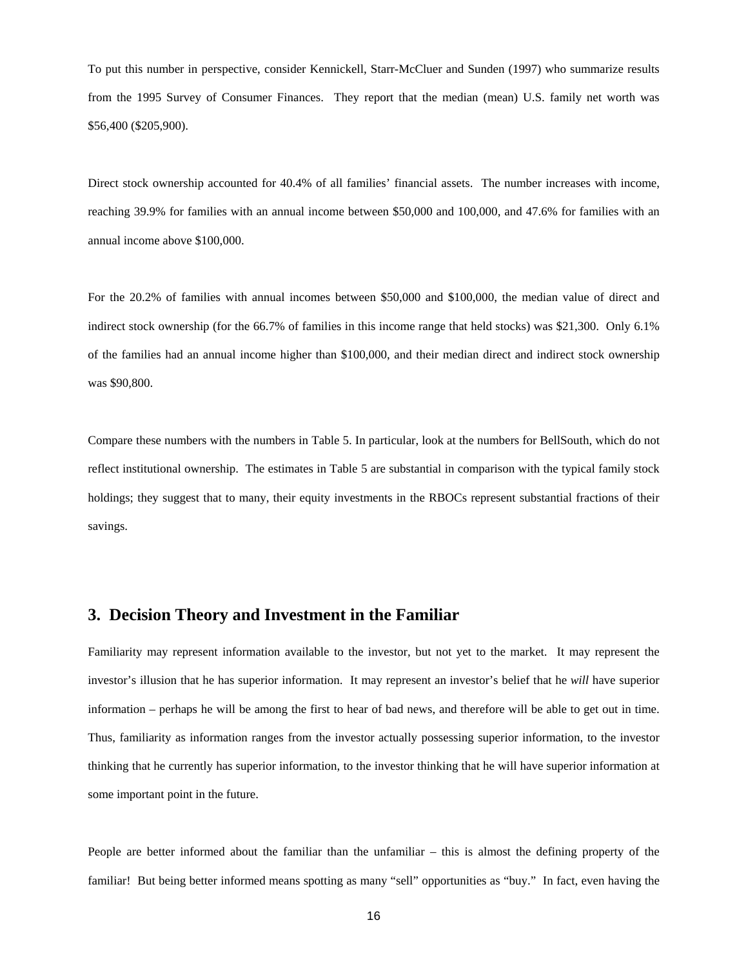To put this number in perspective, consider Kennickell, Starr-McCluer and Sunden (1997) who summarize results from the 1995 Survey of Consumer Finances. They report that the median (mean) U.S. family net worth was \$56,400 (\$205,900).

Direct stock ownership accounted for 40.4% of all families' financial assets. The number increases with income, reaching 39.9% for families with an annual income between \$50,000 and 100,000, and 47.6% for families with an annual income above \$100,000.

For the 20.2% of families with annual incomes between \$50,000 and \$100,000, the median value of direct and indirect stock ownership (for the 66.7% of families in this income range that held stocks) was \$21,300. Only 6.1% of the families had an annual income higher than \$100,000, and their median direct and indirect stock ownership was \$90,800.

Compare these numbers with the numbers in Table 5. In particular, look at the numbers for BellSouth, which do not reflect institutional ownership. The estimates in Table 5 are substantial in comparison with the typical family stock holdings; they suggest that to many, their equity investments in the RBOCs represent substantial fractions of their savings.

## **3. Decision Theory and Investment in the Familiar**

Familiarity may represent information available to the investor, but not yet to the market. It may represent the investor's illusion that he has superior information. It may represent an investor's belief that he *will* have superior information – perhaps he will be among the first to hear of bad news, and therefore will be able to get out in time. Thus, familiarity as information ranges from the investor actually possessing superior information, to the investor thinking that he currently has superior information, to the investor thinking that he will have superior information at some important point in the future.

People are better informed about the familiar than the unfamiliar – this is almost the defining property of the familiar! But being better informed means spotting as many "sell" opportunities as "buy." In fact, even having the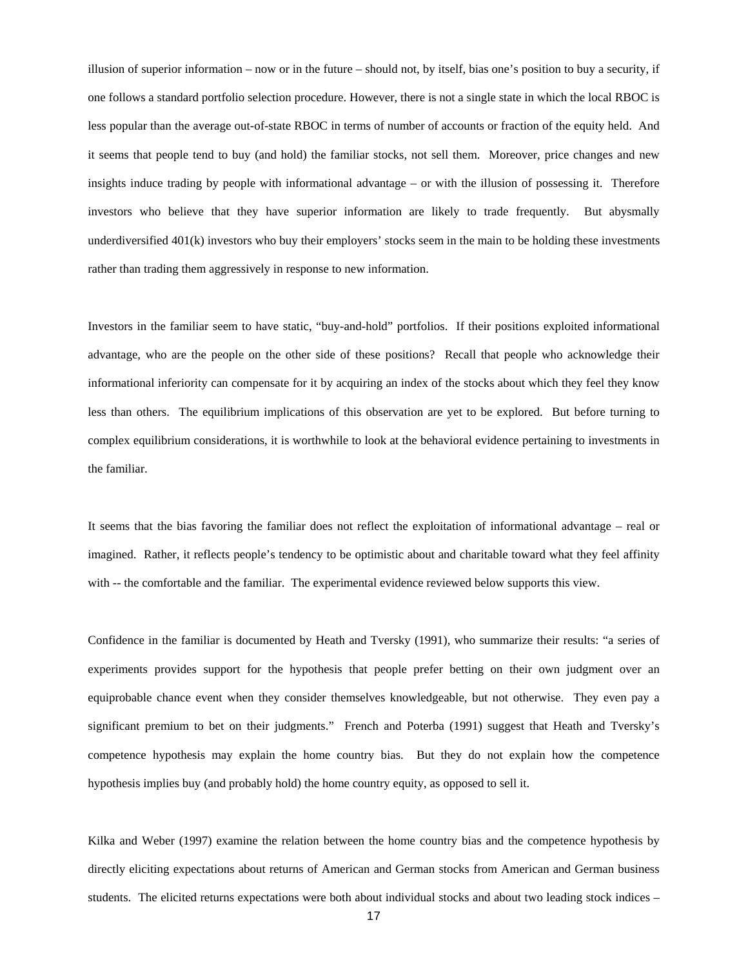illusion of superior information – now or in the future – should not, by itself, bias one's position to buy a security, if one follows a standard portfolio selection procedure. However, there is not a single state in which the local RBOC is less popular than the average out-of-state RBOC in terms of number of accounts or fraction of the equity held. And it seems that people tend to buy (and hold) the familiar stocks, not sell them. Moreover, price changes and new insights induce trading by people with informational advantage – or with the illusion of possessing it. Therefore investors who believe that they have superior information are likely to trade frequently. But abysmally underdiversified 401(k) investors who buy their employers' stocks seem in the main to be holding these investments rather than trading them aggressively in response to new information.

Investors in the familiar seem to have static, "buy-and-hold" portfolios. If their positions exploited informational advantage, who are the people on the other side of these positions? Recall that people who acknowledge their informational inferiority can compensate for it by acquiring an index of the stocks about which they feel they know less than others. The equilibrium implications of this observation are yet to be explored. But before turning to complex equilibrium considerations, it is worthwhile to look at the behavioral evidence pertaining to investments in the familiar.

It seems that the bias favoring the familiar does not reflect the exploitation of informational advantage – real or imagined. Rather, it reflects people's tendency to be optimistic about and charitable toward what they feel affinity with -- the comfortable and the familiar. The experimental evidence reviewed below supports this view.

Confidence in the familiar is documented by Heath and Tversky (1991), who summarize their results: "a series of experiments provides support for the hypothesis that people prefer betting on their own judgment over an equiprobable chance event when they consider themselves knowledgeable, but not otherwise. They even pay a significant premium to bet on their judgments." French and Poterba (1991) suggest that Heath and Tversky's competence hypothesis may explain the home country bias. But they do not explain how the competence hypothesis implies buy (and probably hold) the home country equity, as opposed to sell it.

Kilka and Weber (1997) examine the relation between the home country bias and the competence hypothesis by directly eliciting expectations about returns of American and German stocks from American and German business students. The elicited returns expectations were both about individual stocks and about two leading stock indices –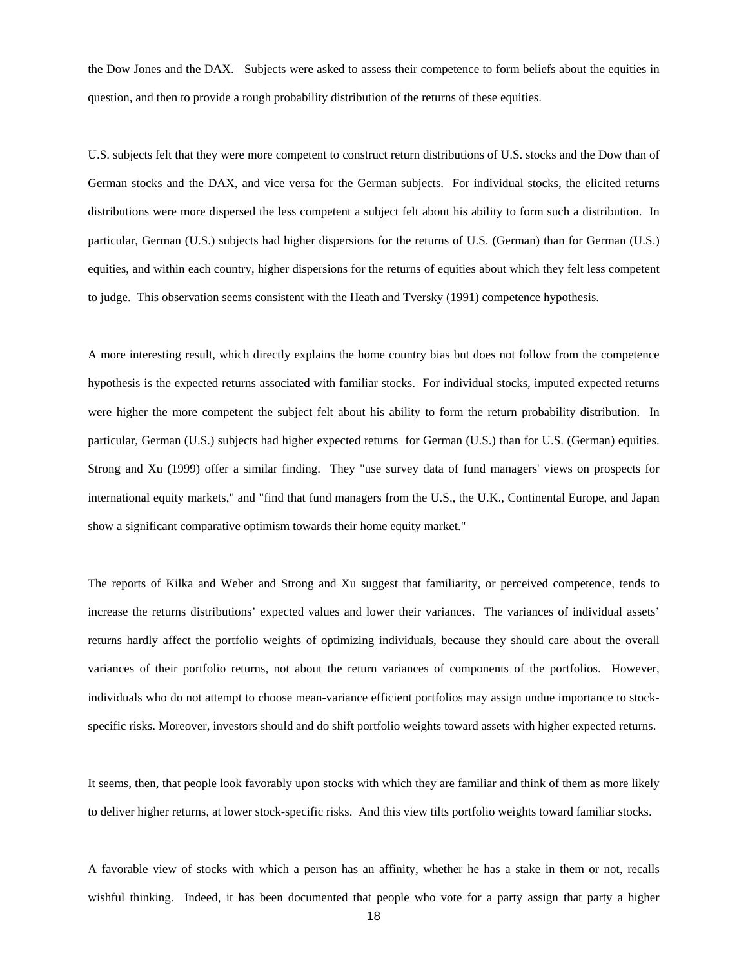the Dow Jones and the DAX. Subjects were asked to assess their competence to form beliefs about the equities in question, and then to provide a rough probability distribution of the returns of these equities.

U.S. subjects felt that they were more competent to construct return distributions of U.S. stocks and the Dow than of German stocks and the DAX, and vice versa for the German subjects. For individual stocks, the elicited returns distributions were more dispersed the less competent a subject felt about his ability to form such a distribution. In particular, German (U.S.) subjects had higher dispersions for the returns of U.S. (German) than for German (U.S.) equities, and within each country, higher dispersions for the returns of equities about which they felt less competent to judge. This observation seems consistent with the Heath and Tversky (1991) competence hypothesis.

A more interesting result, which directly explains the home country bias but does not follow from the competence hypothesis is the expected returns associated with familiar stocks. For individual stocks, imputed expected returns were higher the more competent the subject felt about his ability to form the return probability distribution. In particular, German (U.S.) subjects had higher expected returns for German (U.S.) than for U.S. (German) equities. Strong and Xu (1999) offer a similar finding. They "use survey data of fund managers' views on prospects for international equity markets," and "find that fund managers from the U.S., the U.K., Continental Europe, and Japan show a significant comparative optimism towards their home equity market."

The reports of Kilka and Weber and Strong and Xu suggest that familiarity, or perceived competence, tends to increase the returns distributions' expected values and lower their variances. The variances of individual assets' returns hardly affect the portfolio weights of optimizing individuals, because they should care about the overall variances of their portfolio returns, not about the return variances of components of the portfolios. However, individuals who do not attempt to choose mean-variance efficient portfolios may assign undue importance to stockspecific risks. Moreover, investors should and do shift portfolio weights toward assets with higher expected returns.

It seems, then, that people look favorably upon stocks with which they are familiar and think of them as more likely to deliver higher returns, at lower stock-specific risks. And this view tilts portfolio weights toward familiar stocks.

A favorable view of stocks with which a person has an affinity, whether he has a stake in them or not, recalls wishful thinking. Indeed, it has been documented that people who vote for a party assign that party a higher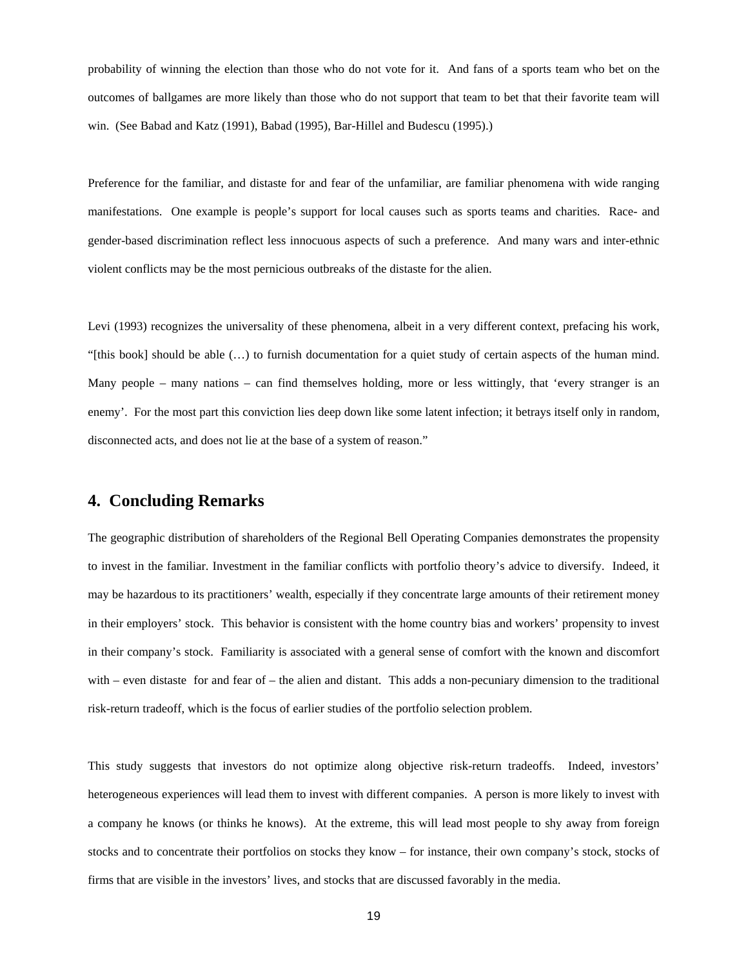probability of winning the election than those who do not vote for it. And fans of a sports team who bet on the outcomes of ballgames are more likely than those who do not support that team to bet that their favorite team will win. (See Babad and Katz (1991), Babad (1995), Bar-Hillel and Budescu (1995).)

Preference for the familiar, and distaste for and fear of the unfamiliar, are familiar phenomena with wide ranging manifestations. One example is people's support for local causes such as sports teams and charities. Race- and gender-based discrimination reflect less innocuous aspects of such a preference. And many wars and inter-ethnic violent conflicts may be the most pernicious outbreaks of the distaste for the alien.

Levi (1993) recognizes the universality of these phenomena, albeit in a very different context, prefacing his work, "[this book] should be able (…) to furnish documentation for a quiet study of certain aspects of the human mind. Many people – many nations – can find themselves holding, more or less wittingly, that 'every stranger is an enemy'. For the most part this conviction lies deep down like some latent infection; it betrays itself only in random, disconnected acts, and does not lie at the base of a system of reason."

## **4. Concluding Remarks**

The geographic distribution of shareholders of the Regional Bell Operating Companies demonstrates the propensity to invest in the familiar. Investment in the familiar conflicts with portfolio theory's advice to diversify. Indeed, it may be hazardous to its practitioners' wealth, especially if they concentrate large amounts of their retirement money in their employers' stock. This behavior is consistent with the home country bias and workers' propensity to invest in their company's stock. Familiarity is associated with a general sense of comfort with the known and discomfort with – even distaste for and fear of – the alien and distant. This adds a non-pecuniary dimension to the traditional risk-return tradeoff, which is the focus of earlier studies of the portfolio selection problem.

This study suggests that investors do not optimize along objective risk-return tradeoffs. Indeed, investors' heterogeneous experiences will lead them to invest with different companies. A person is more likely to invest with a company he knows (or thinks he knows). At the extreme, this will lead most people to shy away from foreign stocks and to concentrate their portfolios on stocks they know – for instance, their own company's stock, stocks of firms that are visible in the investors' lives, and stocks that are discussed favorably in the media.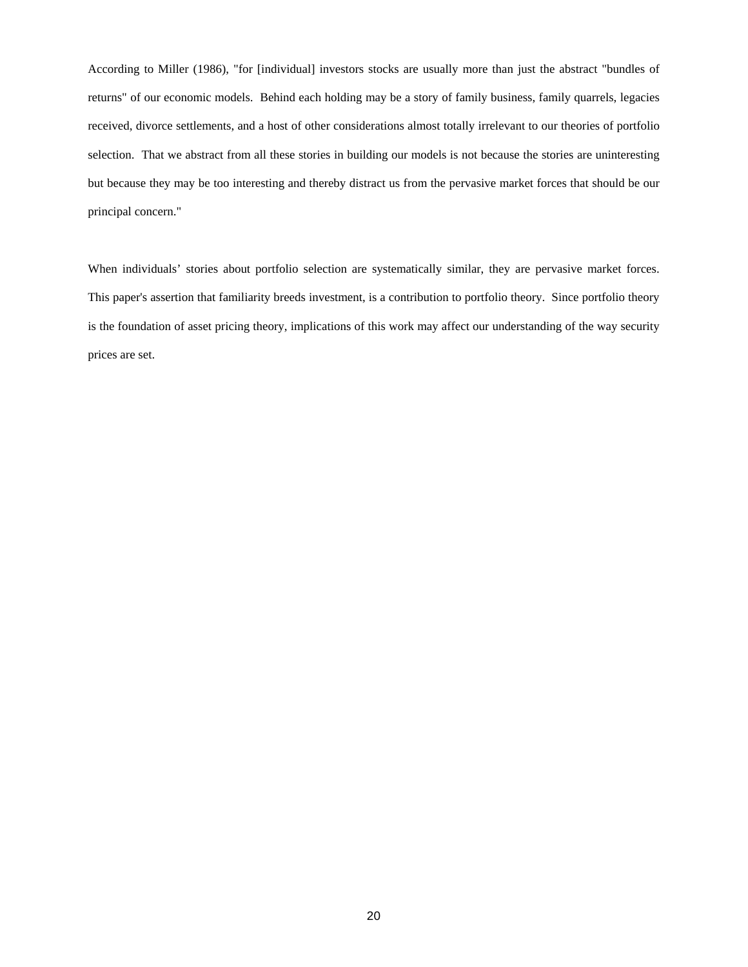According to Miller (1986), "for [individual] investors stocks are usually more than just the abstract "bundles of returns" of our economic models. Behind each holding may be a story of family business, family quarrels, legacies received, divorce settlements, and a host of other considerations almost totally irrelevant to our theories of portfolio selection. That we abstract from all these stories in building our models is not because the stories are uninteresting but because they may be too interesting and thereby distract us from the pervasive market forces that should be our principal concern."

When individuals' stories about portfolio selection are systematically similar, they are pervasive market forces. This paper's assertion that familiarity breeds investment, is a contribution to portfolio theory. Since portfolio theory is the foundation of asset pricing theory, implications of this work may affect our understanding of the way security prices are set.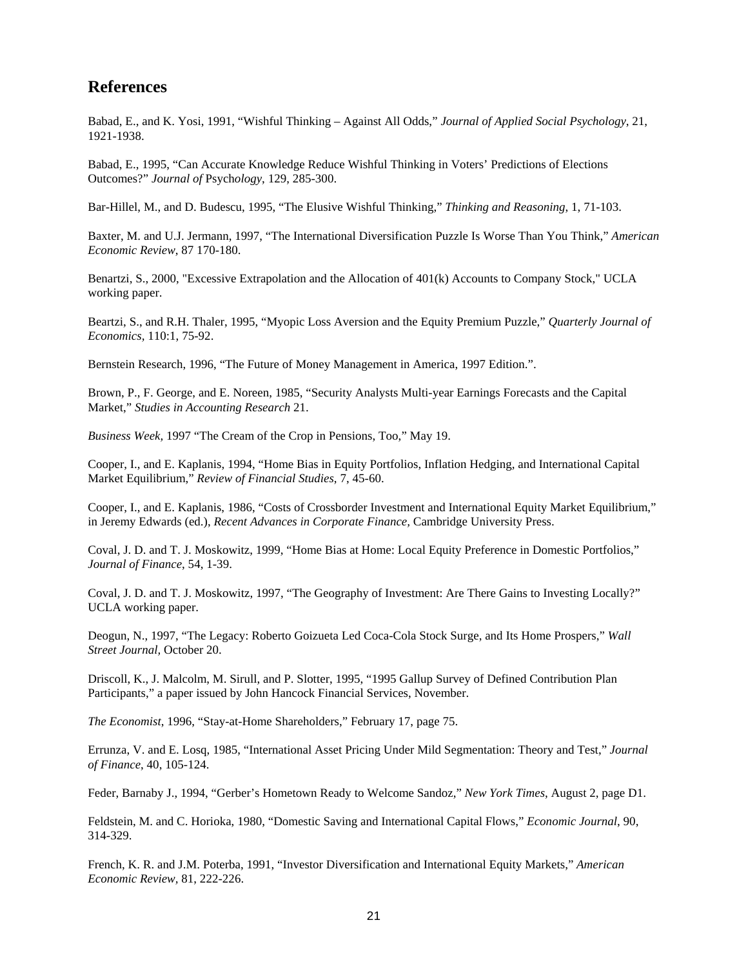# **References**

Babad, E., and K. Yosi, 1991, "Wishful Thinking – Against All Odds," *Journal of Applied Social Psychology*, 21, 1921-1938.

Babad, E., 1995, "Can Accurate Knowledge Reduce Wishful Thinking in Voters' Predictions of Elections Outcomes?" *Journal of* Psych*ology*, 129, 285-300.

Bar-Hillel, M., and D. Budescu, 1995, "The Elusive Wishful Thinking," *Thinking and Reasoning*, 1, 71-103.

Baxter, M. and U.J. Jermann, 1997, "The International Diversification Puzzle Is Worse Than You Think," *American Economic Review*, 87 170-180.

Benartzi, S., 2000, "Excessive Extrapolation and the Allocation of 401(k) Accounts to Company Stock," UCLA working paper.

Beartzi, S., and R.H. Thaler, 1995, "Myopic Loss Aversion and the Equity Premium Puzzle," *Quarterly Journal of Economics,* 110:1, 75-92.

Bernstein Research, 1996, "The Future of Money Management in America, 1997 Edition.".

Brown, P., F. George, and E. Noreen, 1985, "Security Analysts Multi-year Earnings Forecasts and the Capital Market," *Studies in Accounting Research* 21.

*Business Week,* 1997 "The Cream of the Crop in Pensions, Too," May 19.

Cooper, I., and E. Kaplanis, 1994, "Home Bias in Equity Portfolios, Inflation Hedging, and International Capital Market Equilibrium," *Review of Financial Studies*, 7, 45-60.

Cooper, I., and E. Kaplanis, 1986, "Costs of Crossborder Investment and International Equity Market Equilibrium," in Jeremy Edwards (ed.), *Recent Advances in Corporate Finance,* Cambridge University Press.

Coval, J. D. and T. J. Moskowitz, 1999, "Home Bias at Home: Local Equity Preference in Domestic Portfolios," *Journal of Finance*, 54, 1-39.

Coval, J. D. and T. J. Moskowitz, 1997, "The Geography of Investment: Are There Gains to Investing Locally?" UCLA working paper.

Deogun, N., 1997, "The Legacy: Roberto Goizueta Led Coca-Cola Stock Surge, and Its Home Prospers," *Wall Street Journal,* October 20.

Driscoll, K., J. Malcolm, M. Sirull, and P. Slotter, 1995, "1995 Gallup Survey of Defined Contribution Plan Participants," a paper issued by John Hancock Financial Services, November.

*The Economist*, 1996, "Stay-at-Home Shareholders," February 17, page 75.

Errunza, V. and E. Losq, 1985, "International Asset Pricing Under Mild Segmentation: Theory and Test," *Journal of Finance*, 40, 105-124.

Feder, Barnaby J., 1994, "Gerber's Hometown Ready to Welcome Sandoz," *New York Times*, August 2, page D1.

Feldstein, M. and C. Horioka, 1980, "Domestic Saving and International Capital Flows," *Economic Journal*, 90, 314-329.

French, K. R. and J.M. Poterba, 1991, "Investor Diversification and International Equity Markets," *American Economic Review,* 81, 222-226.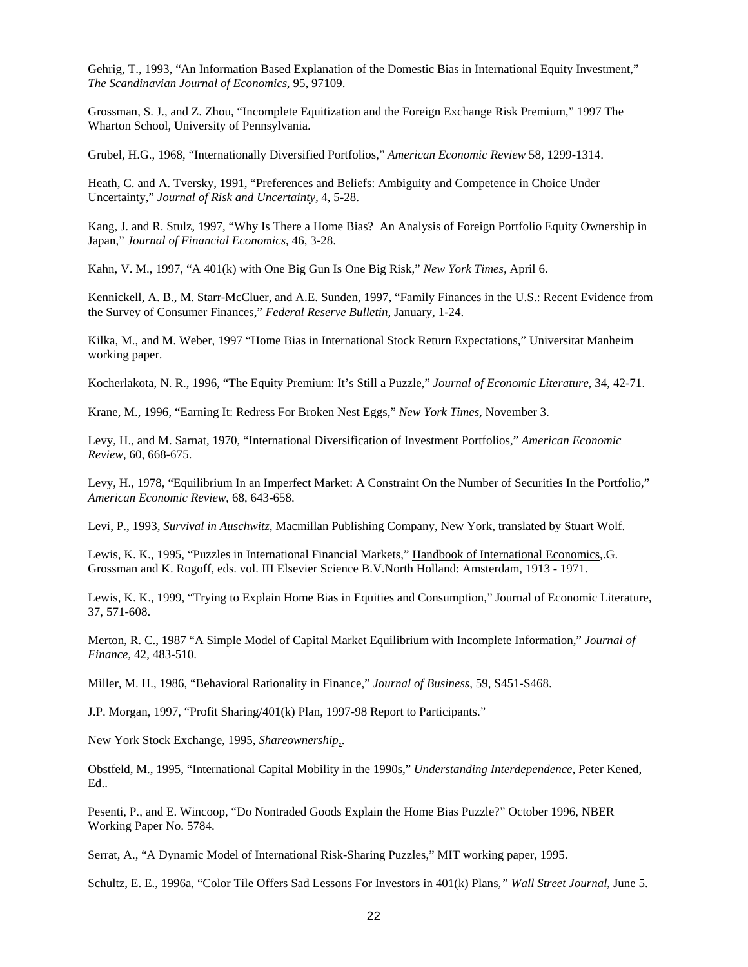Gehrig, T., 1993, "An Information Based Explanation of the Domestic Bias in International Equity Investment," *The Scandinavian Journal of Economics*, 95, 97109.

Grossman, S. J., and Z. Zhou, "Incomplete Equitization and the Foreign Exchange Risk Premium," 1997 The Wharton School, University of Pennsylvania.

Grubel, H.G., 1968, "Internationally Diversified Portfolios," *American Economic Review* 58, 1299-1314.

Heath, C. and A. Tversky, 1991, "Preferences and Beliefs: Ambiguity and Competence in Choice Under Uncertainty," *Journal of Risk and Uncertainty,* 4, 5-28.

Kang, J. and R. Stulz, 1997, "Why Is There a Home Bias? An Analysis of Foreign Portfolio Equity Ownership in Japan," *Journal of Financial Economics*, 46, 3-28.

Kahn, V. M., 1997, "A 401(k) with One Big Gun Is One Big Risk," *New York Times,* April 6.

Kennickell, A. B., M. Starr-McCluer, and A.E. Sunden, 1997, "Family Finances in the U.S.: Recent Evidence from the Survey of Consumer Finances," *Federal Reserve Bulletin,* January, 1-24.

Kilka, M., and M. Weber, 1997 "Home Bias in International Stock Return Expectations," Universitat Manheim working paper.

Kocherlakota, N. R., 1996, "The Equity Premium: It's Still a Puzzle," *Journal of Economic Literature*, 34, 42-71.

Krane, M., 1996, "Earning It: Redress For Broken Nest Eggs," *New York Times,* November 3.

Levy, H., and M. Sarnat, 1970, "International Diversification of Investment Portfolios," *American Economic Review*, 60, 668-675.

Levy, H., 1978, "Equilibrium In an Imperfect Market: A Constraint On the Number of Securities In the Portfolio," *American Economic Review*, 68, 643-658.

Levi, P., 1993*, Survival in Auschwitz*, Macmillan Publishing Company, New York, translated by Stuart Wolf.

Lewis, K. K., 1995, "Puzzles in International Financial Markets," Handbook of International Economics,.G. Grossman and K. Rogoff, eds. vol. III Elsevier Science B.V.North Holland: Amsterdam, 1913 - 1971.

Lewis, K. K., 1999, "Trying to Explain Home Bias in Equities and Consumption," Journal of Economic Literature, 37, 571-608.

Merton, R. C., 1987 "A Simple Model of Capital Market Equilibrium with Incomplete Information," *Journal of Finance*, 42, 483-510.

Miller, M. H., 1986, "Behavioral Rationality in Finance," *Journal of Business*, 59, S451-S468.

J.P. Morgan, 1997, "Profit Sharing/401(k) Plan, 1997-98 Report to Participants."

New York Stock Exchange, 1995, *Shareownership*,.

Obstfeld, M., 1995, "International Capital Mobility in the 1990s," *Understanding Interdependence,* Peter Kened, Ed..

Pesenti, P., and E. Wincoop, "Do Nontraded Goods Explain the Home Bias Puzzle?" October 1996, NBER Working Paper No. 5784.

Serrat, A., "A Dynamic Model of International Risk-Sharing Puzzles," MIT working paper, 1995.

Schultz, E. E., 1996a, "Color Tile Offers Sad Lessons For Investors in 401(k) Plans*," Wall Street Journal*, June 5.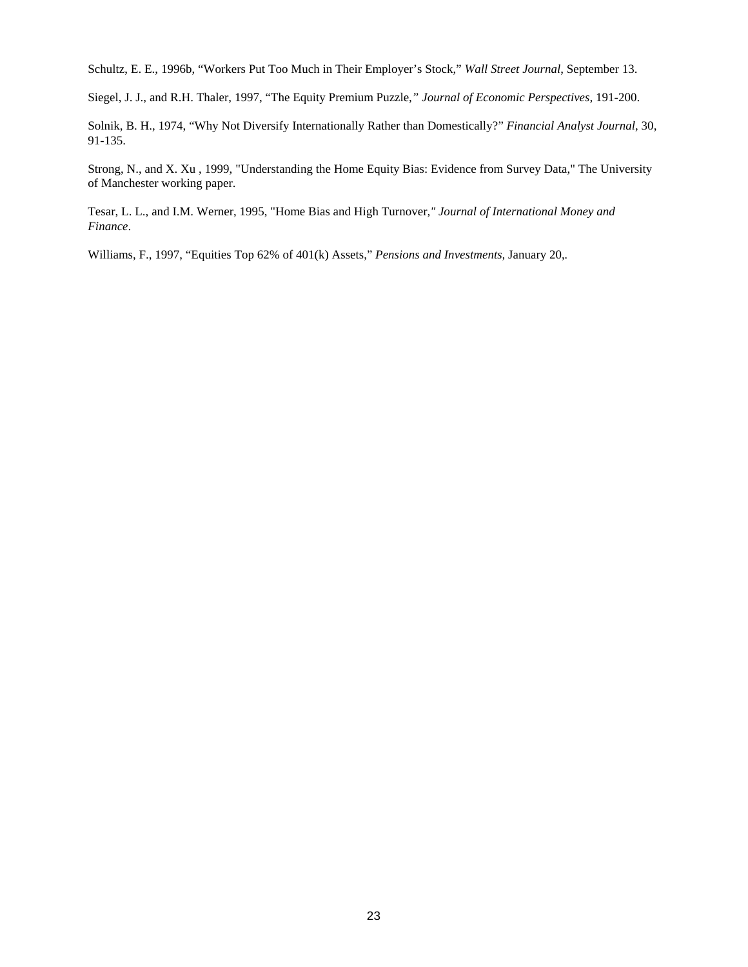Schultz, E. E., 1996b, "Workers Put Too Much in Their Employer's Stock," *Wall Street Journal*, September 13.

Siegel, J. J., and R.H. Thaler, 1997, "The Equity Premium Puzzle*," Journal of Economic Perspectives,* 191-200.

Solnik, B. H., 1974, "Why Not Diversify Internationally Rather than Domestically?" *Financial Analyst Journal*, 30, 91-135.

Strong, N., and X. Xu , 1999, "Understanding the Home Equity Bias: Evidence from Survey Data," The University of Manchester working paper.

Tesar, L. L., and I.M. Werner, 1995, "Home Bias and High Turnover*," Journal of International Money and Finance*.

Williams, F., 1997, "Equities Top 62% of 401(k) Assets," *Pensions and Investments,* January 20,*.*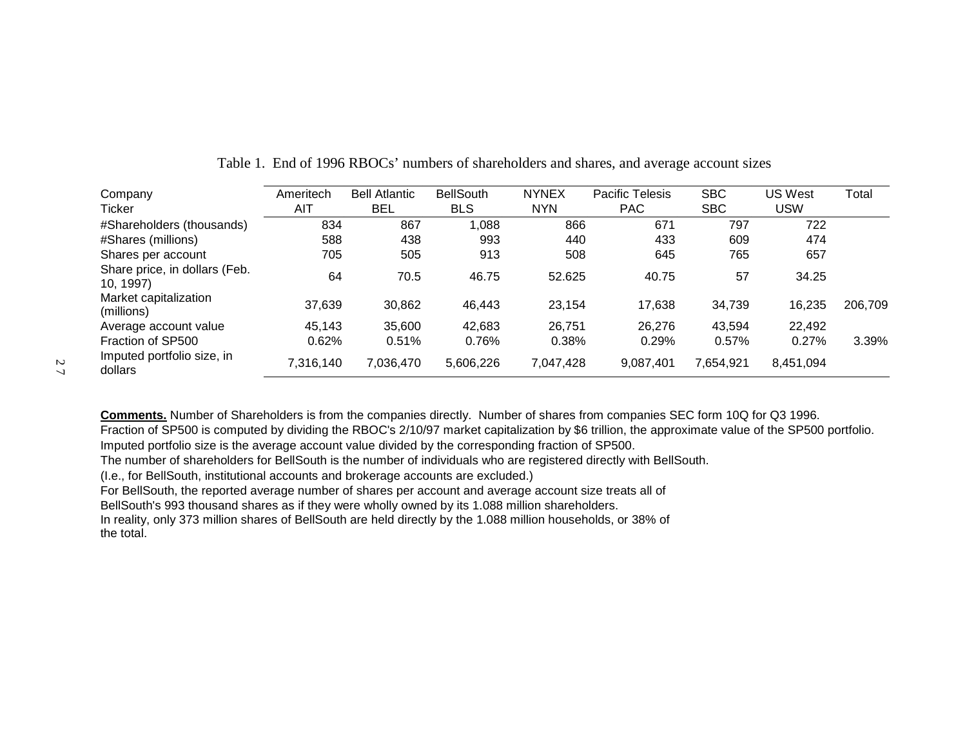| Company                                    | Ameritech | <b>Bell Atlantic</b> | <b>BellSouth</b> | <b>NYNEX</b> | <b>Pacific Telesis</b> | <b>SBC</b> | <b>US West</b> | Total   |
|--------------------------------------------|-----------|----------------------|------------------|--------------|------------------------|------------|----------------|---------|
| Ticker                                     | AIT       | BEL                  | <b>BLS</b>       | <b>NYN</b>   | <b>PAC</b>             | <b>SBC</b> | <b>USW</b>     |         |
| #Shareholders (thousands)                  | 834       | 867                  | 1,088            | 866          | 671                    | 797        | 722            |         |
| #Shares (millions)                         | 588       | 438                  | 993              | 440          | 433                    | 609        | 474            |         |
| Shares per account                         | 705       | 505                  | 913              | 508          | 645                    | 765        | 657            |         |
| Share price, in dollars (Feb.<br>10, 1997) | 64        | 70.5                 | 46.75            | 52.625       | 40.75                  | 57         | 34.25          |         |
| Market capitalization<br>(millions)        | 37,639    | 30,862               | 46,443           | 23,154       | 17,638                 | 34,739     | 16,235         | 206,709 |
| Average account value                      | 45,143    | 35,600               | 42,683           | 26,751       | 26,276                 | 43,594     | 22,492         |         |
| Fraction of SP500                          | 0.62%     | 0.51%                | 0.76%            | 0.38%        | 0.29%                  | 0.57%      | 0.27%          | 3.39%   |
| Imputed portfolio size, in<br>dollars      | 7,316,140 | 7,036,470            | 5,606,226        | 7,047,428    | 9,087,401              | 7,654,921  | 8,451,094      |         |

Table 1. End of 1996 RBOCs' numbers of shareholders and shares, and average account sizes

**Comments.** Number of Shareholders is from the companies directly. Number of shares from companies SEC form 10Q for Q3 1996. Fraction of SP500 is computed by dividing the RBOC's 2/10/97 market capitalization by \$6 trillion, the approximate value of the SP500 portfolio. Imputed portfolio size is the average account value divided by the corresponding fraction of SP500.

The number of shareholders for BellSouth is the number of individuals who are registered directly with BellSouth.

(I.e., for BellSouth, institutional accounts and brokerage accounts are excluded.)

For BellSouth, the reported average number of shares per account and average account size treats all of

BellSouth's 993 thousand shares as if they were wholly owned by its 1.088 million shareholders.

In reality, only 373 million shares of BellSouth are held directly by the 1.088 million households, or 38% of the total.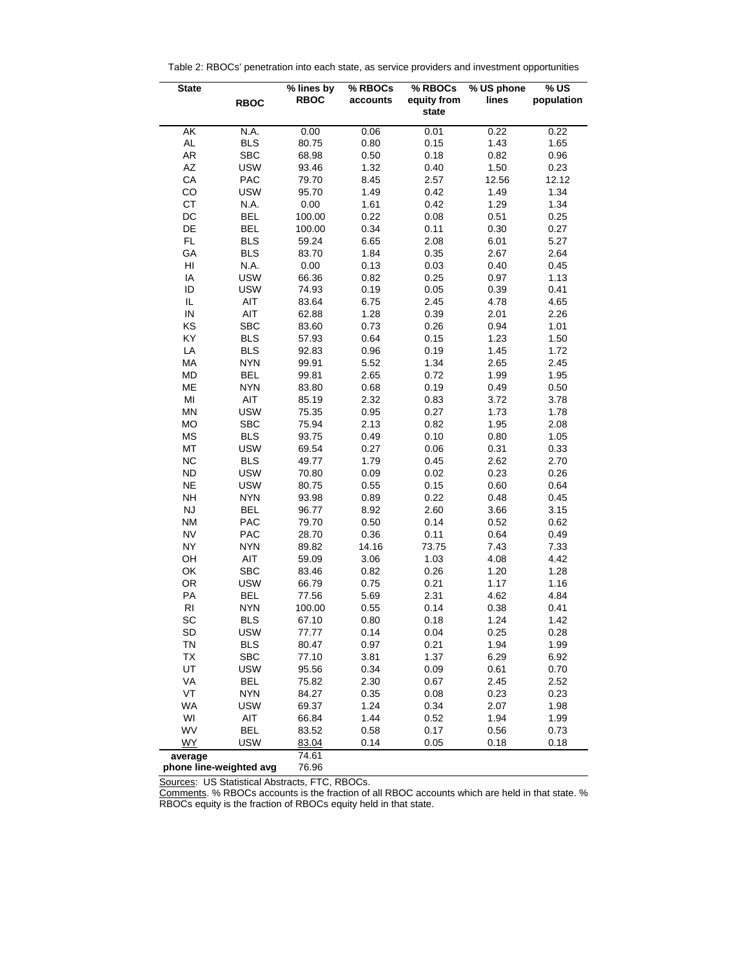| Table 2: RBOCs' penetration into each state, as service providers and investment opportunities |  |  |  |
|------------------------------------------------------------------------------------------------|--|--|--|
|                                                                                                |  |  |  |

| <b>State</b>            | <b>RBOC</b> | % lines by<br><b>RBOC</b> | % RBOCs<br>accounts | % RBOCs<br>equity from | $\sqrt[6]{}$ US phone<br>lines | %US<br>population |
|-------------------------|-------------|---------------------------|---------------------|------------------------|--------------------------------|-------------------|
|                         |             |                           |                     | state                  |                                |                   |
| AK                      | N.A.        | 0.00                      | 0.06                | 0.01                   | 0.22                           | 0.22              |
| AL                      | <b>BLS</b>  | 80.75                     | 0.80                | 0.15                   | 1.43                           | 1.65              |
| AR                      | <b>SBC</b>  | 68.98                     | 0.50                | 0.18                   | 0.82                           | 0.96              |
| AZ                      | <b>USW</b>  | 93.46                     | 1.32                | 0.40                   | 1.50                           | 0.23              |
| CA                      | PAC         | 79.70                     | 8.45                | 2.57                   | 12.56                          | 12.12             |
| CO                      | <b>USW</b>  | 95.70                     | 1.49                | 0.42                   | 1.49                           | 1.34              |
| CT                      | N.A.        | 0.00                      | 1.61                | 0.42                   | 1.29                           | 1.34              |
| DC                      | <b>BEL</b>  | 100.00                    | 0.22                | 0.08                   | 0.51                           | 0.25              |
| DE                      | <b>BEL</b>  | 100.00                    | 0.34                | 0.11                   | 0.30                           | 0.27              |
| FL                      | <b>BLS</b>  | 59.24                     | 6.65                | 2.08                   | 6.01                           | 5.27              |
| GA                      | <b>BLS</b>  | 83.70                     | 1.84                | 0.35                   | 2.67                           | 2.64              |
| HI                      | N.A.        | 0.00                      | 0.13                | 0.03                   | 0.40                           | 0.45              |
| IA                      | <b>USW</b>  | 66.36                     | 0.82                | 0.25                   | 0.97                           | 1.13              |
| ID                      | <b>USW</b>  | 74.93                     | 0.19                | 0.05                   | 0.39                           | 0.41              |
| IL                      | AIT         | 83.64                     | 6.75                | 2.45                   | 4.78                           | 4.65              |
| ${\sf IN}$              | AIT         | 62.88                     | 1.28                | 0.39                   | 2.01                           | 2.26              |
| KS                      | <b>SBC</b>  | 83.60                     | 0.73                | 0.26                   | 0.94                           | 1.01              |
| KY                      | <b>BLS</b>  | 57.93                     | 0.64                | 0.15                   | 1.23                           | 1.50              |
| LA                      | <b>BLS</b>  | 92.83                     | 0.96                | 0.19                   | 1.45                           | 1.72              |
| MA                      | <b>NYN</b>  | 99.91                     | 5.52                | 1.34                   | 2.65                           | 2.45              |
| MD                      | <b>BEL</b>  | 99.81                     | 2.65                | 0.72                   | 1.99                           | 1.95              |
| ME                      | <b>NYN</b>  | 83.80                     | 0.68                | 0.19                   | 0.49                           | 0.50              |
| MI                      | AIT         | 85.19                     | 2.32                | 0.83                   | 3.72                           | 3.78              |
| MN                      | <b>USW</b>  | 75.35                     | 0.95                | 0.27                   | 1.73                           | 1.78              |
| <b>MO</b>               | <b>SBC</b>  | 75.94                     | 2.13                | 0.82                   | 1.95                           | 2.08              |
| $\mathsf{MS}\xspace$    | <b>BLS</b>  | 93.75                     | 0.49                | 0.10                   | 0.80                           | 1.05              |
| MT                      | <b>USW</b>  | 69.54                     | 0.27                | 0.06                   | 0.31                           | 0.33              |
| <b>NC</b>               | <b>BLS</b>  | 49.77                     | 1.79                | 0.45                   | 2.62                           | 2.70              |
| ND                      | <b>USW</b>  | 70.80                     | 0.09                | 0.02                   | 0.23                           | 0.26              |
| <b>NE</b>               | <b>USW</b>  | 80.75                     | 0.55                | 0.15                   | 0.60                           | 0.64              |
| <b>NH</b>               | <b>NYN</b>  | 93.98                     | 0.89                | 0.22                   | 0.48                           | 0.45              |
| NJ                      | <b>BEL</b>  | 96.77                     | 8.92                | 2.60                   | 3.66                           | 3.15              |
| <b>NM</b>               | PAC         | 79.70                     | 0.50                | 0.14                   | 0.52                           | 0.62              |
| <b>NV</b>               | PAC         | 28.70                     | 0.36                | 0.11                   | 0.64                           | 0.49              |
| <b>NY</b>               | <b>NYN</b>  | 89.82                     | 14.16               | 73.75                  | 7.43                           | 7.33              |
| OH                      | AIT         | 59.09                     | 3.06                | 1.03                   | 4.08                           | 4.42              |
| OK                      | <b>SBC</b>  | 83.46                     | 0.82                | 0.26                   | 1.20                           | 1.28              |
| OR                      | <b>USW</b>  | 66.79                     | 0.75                | 0.21                   | 1.17                           | 1.16              |
| PA                      | <b>BEL</b>  | 77.56                     | 5.69                | 2.31                   | 4.62                           | 4.84              |
| R <sub>l</sub>          | <b>NYN</b>  | 100.00                    | 0.55                | 0.14                   | 0.38                           | 0.41              |
| SC                      | <b>BLS</b>  | 67.10                     | 0.80                | 0.18                   | 1.24                           | 1.42              |
| SD                      | <b>USW</b>  | 77.77                     | 0.14                | 0.04                   | 0.25                           | 0.28              |
| TN                      | <b>BLS</b>  | 80.47                     | 0.97                | 0.21                   | 1.94                           | 1.99              |
| <b>TX</b>               | <b>SBC</b>  | 77.10                     | 3.81                | 1.37                   | 6.29                           | 6.92              |
| UT                      | <b>USW</b>  | 95.56                     | 0.34                | 0.09                   | 0.61                           | 0.70              |
| VA                      | <b>BEL</b>  | 75.82                     | 2.30                | 0.67                   | 2.45                           | 2.52              |
| VT                      | <b>NYN</b>  | 84.27                     | 0.35                | 0.08                   | 0.23                           | 0.23              |
| <b>WA</b>               | <b>USW</b>  | 69.37                     | 1.24                | 0.34                   | 2.07                           | 1.98              |
| WI                      | AIT         | 66.84                     | 1.44                | 0.52                   | 1.94                           | 1.99              |
| WV                      | <b>BEL</b>  | 83.52                     | 0.58                | 0.17                   | 0.56                           | 0.73              |
| <b>WY</b>               | <b>USW</b>  | 83.04                     | 0.14                | 0.05                   | 0.18                           | 0.18              |
| average                 |             | 74.61                     |                     |                        |                                |                   |
| phone line-weighted avg |             | 76.96                     |                     |                        |                                |                   |

Sources: US Statistical Abstracts, FTC, RBOCs.

Comments. % RBOCs accounts is the fraction of all RBOC accounts which are held in that state. % RBOCs equity is the fraction of RBOCs equity held in that state.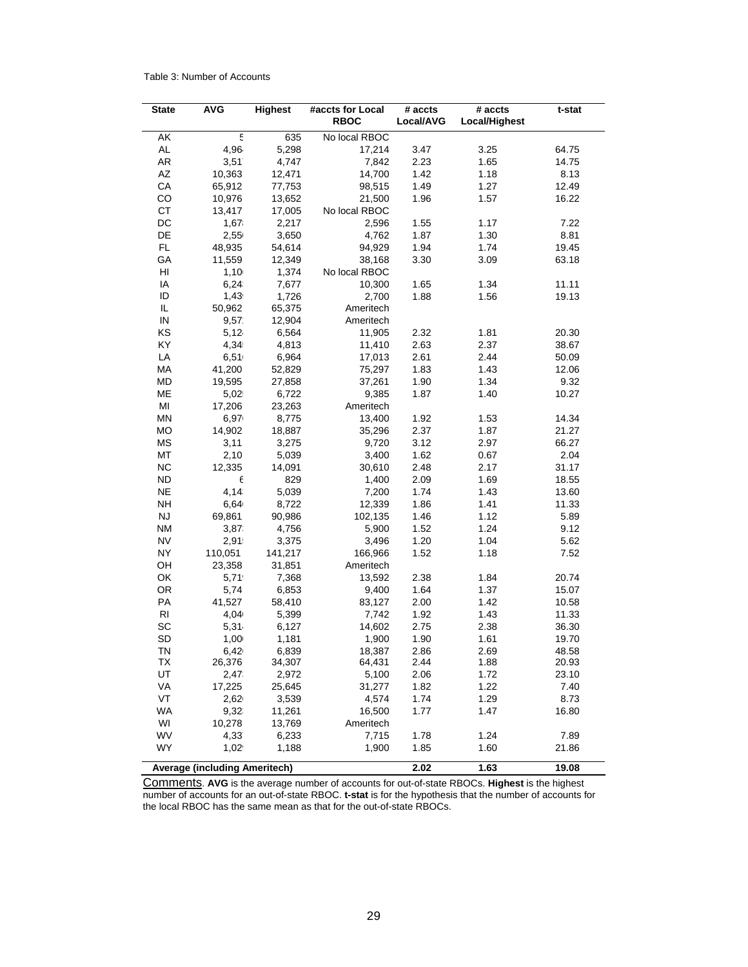#### Table 3: Number of Accounts

| <b>State</b>             | <b>AVG</b>                           | <b>Highest</b> | #accts for Local<br><b>RBOC</b> | # accts<br>Local/AVG | # accts<br>Local/Highest | t-stat |
|--------------------------|--------------------------------------|----------------|---------------------------------|----------------------|--------------------------|--------|
| AK                       | 5                                    | 635            | No local RBOC                   |                      |                          |        |
| AL                       | 4,96                                 | 5,298          | 17,214                          | 3.47                 | 3.25                     | 64.75  |
| AR                       | 3,51                                 | 4,747          | 7,842                           | 2.23                 | 1.65                     | 14.75  |
| AZ                       | 10,363                               | 12,471         | 14,700                          | 1.42                 | 1.18                     | 8.13   |
| CA                       | 65,912                               | 77,753         | 98,515                          | 1.49                 | 1.27                     | 12.49  |
| CO                       | 10,976                               | 13,652         | 21,500                          | 1.96                 | 1.57                     | 16.22  |
| СT                       | 13,417                               | 17,005         | No local RBOC                   |                      |                          |        |
| $_{\rm DC}$              | 1,67                                 | 2,217          | 2,596                           | 1.55                 | 1.17                     | 7.22   |
| DE                       | 2,55                                 | 3,650          | 4,762                           | 1.87                 | 1.30                     | 8.81   |
| <b>FL</b>                | 48,935                               | 54,614         | 94,929                          | 1.94                 | 1.74                     | 19.45  |
| GA                       | 11,559                               | 12,349         | 38,168                          | 3.30                 | 3.09                     | 63.18  |
| HI                       | 1,10                                 | 1,374          | No local RBOC                   |                      |                          |        |
| IA                       | 6,24.                                | 7,677          | 10,300                          | 1.65                 | 1.34                     | 11.11  |
| ID                       | 1,43                                 | 1,726          | 2,700                           | 1.88                 | 1.56                     | 19.13  |
| IL.                      | 50,962                               | 65,375         | Ameritech                       |                      |                          |        |
| ${\sf IN}$               | 9,57.                                | 12,904         | Ameritech                       |                      |                          |        |
| KS                       | 5,12                                 | 6,564          | 11,905                          | 2.32                 | 1.81                     | 20.30  |
| KY                       | 4,34                                 | 4,813          | 11,410                          | 2.63                 | 2.37                     | 38.67  |
| LA                       | 6,51                                 | 6,964          | 17,013                          | 2.61                 | 2.44                     | 50.09  |
| MA                       | 41,200                               | 52,829         | 75,297                          | 1.83                 | 1.43                     | 12.06  |
| <b>MD</b>                | 19,595                               | 27,858         | 37,261                          | 1.90                 | 1.34                     | 9.32   |
| ME                       | 5,02                                 | 6,722          | 9,385                           | 1.87                 | 1.40                     | 10.27  |
| MI                       | 17,206                               | 23,263         | Ameritech                       |                      |                          |        |
| <b>MN</b>                | 6,97                                 | 8,775          | 13,400                          | 1.92                 | 1.53                     | 14.34  |
| <b>MO</b>                | 14,902                               | 18,887         | 35,296                          | 2.37                 | 1.87                     | 21.27  |
| MS                       | 3,11                                 | 3,275          | 9,720                           | 3.12                 | 2.97                     | 66.27  |
| MT                       |                                      | 5,039          | 3,400                           | 1.62                 | 0.67                     | 2.04   |
| <b>NC</b>                | 2,10<br>12,335                       | 14,091         | 30,610                          | 2.48                 | 2.17                     | 31.17  |
|                          |                                      |                |                                 |                      |                          |        |
| <b>ND</b><br>$_{\sf NE}$ | Е<br>4,14.                           | 829            | 1,400                           | 2.09<br>1.74         | 1.69                     | 18.55  |
|                          |                                      | 5,039          | 7,200                           |                      | 1.43                     | 13.60  |
| <b>NH</b>                | 6,64                                 | 8,722          | 12,339                          | 1.86                 | 1.41                     | 11.33  |
| <b>NJ</b>                | 69,861                               | 90,986         | 102,135                         | 1.46                 | 1.12                     | 5.89   |
| <b>NM</b>                | 3,87.                                | 4,756          | 5,900                           | 1.52                 | 1.24                     | 9.12   |
| <b>NV</b>                | 2,91                                 | 3,375          | 3,496                           | 1.20                 | 1.04                     | 5.62   |
| <b>NY</b>                | 110,051                              | 141,217        | 166,966                         | 1.52                 | 1.18                     | 7.52   |
| OH                       | 23,358                               | 31,851         | Ameritech                       |                      |                          |        |
| OK                       | 5,71                                 | 7,368          | 13,592                          | 2.38                 | 1.84                     | 20.74  |
| OR                       | 5,74                                 | 6,853          | 9,400                           | 1.64                 | 1.37                     | 15.07  |
| PA                       | 41,527                               | 58,410         | 83,127                          | 2.00                 | 1.42                     | 10.58  |
| R <sub>l</sub>           | 4,04                                 | 5,399          | 7,742                           | 1.92                 | 1.43                     | 11.33  |
| SC                       | 5,31                                 | 6,127          | 14,602                          | 2.75                 | 2.38                     | 36.30  |
| SD                       | 1,00                                 | 1,181          | 1,900                           | 1.90                 | 1.61                     | 19.70  |
| ΤN                       | 6,42                                 | 6,839          | 18,387                          | 2.86                 | 2.69                     | 48.58  |
| TX                       | 26,376                               | 34,307         | 64,431                          | 2.44                 | 1.88                     | 20.93  |
| UT                       | 2,47                                 | 2,972          | 5,100                           | 2.06                 | 1.72                     | 23.10  |
| VA                       | 17,225                               | 25,645         | 31,277                          | 1.82                 | 1.22                     | 7.40   |
| VT                       | 2,62                                 | 3,539          | 4,574                           | 1.74                 | 1.29                     | 8.73   |
| <b>WA</b>                | 9,32.                                | 11,261         | 16,500                          | 1.77                 | 1.47                     | 16.80  |
| WI                       | 10,278                               | 13,769         | Ameritech                       |                      |                          |        |
| WV                       | 4,33                                 | 6,233          | 7,715                           | 1.78                 | 1.24                     | 7.89   |
| <b>WY</b>                | 1,02                                 | 1,188          | 1,900                           | 1.85                 | 1.60                     | 21.86  |
|                          | <b>Average (including Ameritech)</b> |                |                                 | 2.02                 | 1.63                     | 19.08  |

Comments. **AVG** is the average number of accounts for out-of-state RBOCs. **Highest** is the highest number of accounts for an out-of-state RBOC. **t-stat** is for the hypothesis that the number of accounts for the local RBOC has the same mean as that for the out-of-state RBOCs.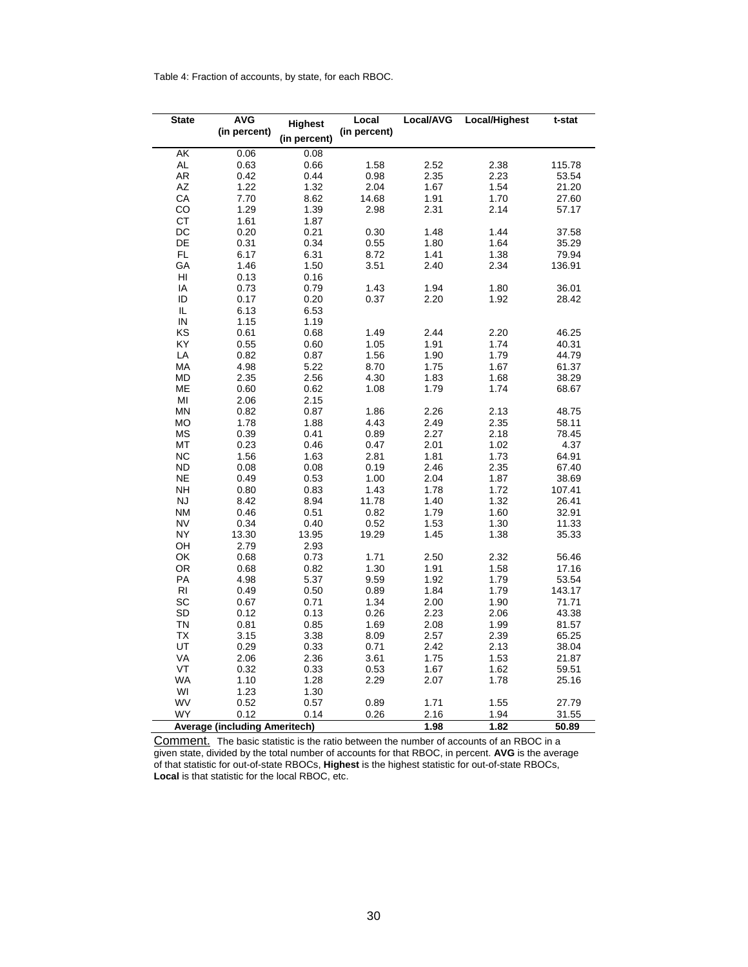Table 4: Fraction of accounts, by state, for each RBOC.

| <b>State</b>         | <b>AVG</b>                           | Highest      | Local        | Local/AVG | <b>Local/Highest</b> | t-stat |
|----------------------|--------------------------------------|--------------|--------------|-----------|----------------------|--------|
|                      | (in percent)                         | (in percent) | (in percent) |           |                      |        |
| AK                   | 0.06                                 | 0.08         |              |           |                      |        |
| $\mathsf{AL}$        | 0.63                                 | 0.66         | 1.58         | 2.52      | 2.38                 | 115.78 |
| AR                   | 0.42                                 | 0.44         | 0.98         | 2.35      | 2.23                 | 53.54  |
| AZ                   | 1.22                                 | 1.32         | 2.04         | 1.67      | 1.54                 | 21.20  |
| CA                   | 7.70                                 | 8.62         | 14.68        | 1.91      | 1.70                 | 27.60  |
| CO                   | 1.29                                 | 1.39         | 2.98         | 2.31      | 2.14                 | 57.17  |
| <b>CT</b>            | 1.61                                 | 1.87         |              |           |                      |        |
| $DC$                 | 0.20                                 | 0.21         | 0.30         | 1.48      | 1.44                 | 37.58  |
| DE                   | 0.31                                 | 0.34         | 0.55         | 1.80      | 1.64                 | 35.29  |
| FL                   | 6.17                                 | 6.31         | 8.72         | 1.41      | 1.38                 | 79.94  |
| GA                   | 1.46                                 | 1.50         | 3.51         | 2.40      | 2.34                 | 136.91 |
| HI                   | 0.13                                 | 0.16         |              |           |                      |        |
| IA                   | 0.73                                 | 0.79         | 1.43         | 1.94      | 1.80                 | 36.01  |
| ID                   | 0.17                                 | 0.20         | 0.37         | 2.20      | 1.92                 | 28.42  |
| IL                   | 6.13                                 | 6.53         |              |           |                      |        |
| ${\sf IN}$           | 1.15                                 |              |              |           |                      |        |
|                      |                                      | 1.19         |              |           |                      |        |
| KS                   | 0.61                                 | 0.68         | 1.49         | 2.44      | 2.20                 | 46.25  |
| KY                   | 0.55                                 | 0.60         | 1.05         | 1.91      | 1.74                 | 40.31  |
| LA                   | 0.82                                 | 0.87         | 1.56         | 1.90      | 1.79                 | 44.79  |
| MA                   | 4.98                                 | 5.22         | 8.70         | 1.75      | 1.67                 | 61.37  |
| <b>MD</b>            | 2.35                                 | 2.56         | 4.30         | 1.83      | 1.68                 | 38.29  |
| ME                   | 0.60                                 | 0.62         | 1.08         | 1.79      | 1.74                 | 68.67  |
| $\mathsf{MI}$        | 2.06                                 | 2.15         |              |           |                      |        |
| <b>MN</b>            | 0.82                                 | 0.87         | 1.86         | 2.26      | 2.13                 | 48.75  |
| <b>MO</b>            | 1.78                                 | 1.88         | 4.43         | 2.49      | 2.35                 | 58.11  |
| $\mathsf{MS}\xspace$ | 0.39                                 | 0.41         | 0.89         | 2.27      | 2.18                 | 78.45  |
| MT                   | 0.23                                 | 0.46         | 0.47         | 2.01      | 1.02                 | 4.37   |
| NC                   | 1.56                                 | 1.63         | 2.81         | 1.81      | 1.73                 | 64.91  |
| <b>ND</b>            | 0.08                                 | 0.08         | 0.19         | 2.46      | 2.35                 | 67.40  |
| <b>NE</b>            | 0.49                                 | 0.53         | 1.00         | 2.04      | 1.87                 | 38.69  |
| $\mathsf{NH}\,$      | 0.80                                 | 0.83         | 1.43         | 1.78      | 1.72                 | 107.41 |
| <b>NJ</b>            | 8.42                                 | 8.94         | 11.78        | 1.40      | 1.32                 | 26.41  |
| <b>NM</b>            | 0.46                                 | 0.51         | 0.82         | 1.79      | 1.60                 | 32.91  |
| <b>NV</b>            | 0.34                                 | 0.40         | 0.52         | 1.53      | 1.30                 | 11.33  |
| <b>NY</b>            | 13.30                                | 13.95        | 19.29        | 1.45      | 1.38                 | 35.33  |
| OH                   | 2.79                                 | 2.93         |              |           |                      |        |
| OK                   | 0.68                                 | 0.73         | 1.71         | 2.50      | 2.32                 | 56.46  |
| OR                   | 0.68                                 | 0.82         | 1.30         | 1.91      | 1.58                 | 17.16  |
| PA                   | 4.98                                 | 5.37         | 9.59         | 1.92      | 1.79                 | 53.54  |
| RI<br>SC             | 0.49                                 | 0.50         | 0.89         | 1.84      | 1.79                 | 143.17 |
|                      | 0.67                                 | 0.71         | 1.34         | 2.00      | 1.90                 | 71.71  |
| SD                   | 0.12                                 | 0.13         | 0.26         | 2.23      | 2.06                 | 43.38  |
| TN                   | 0.81                                 | 0.85         | 1.69         | 2.08      | 1.99                 | 81.57  |
| <b>TX</b>            | 3.15                                 | 3.38         | 8.09         | 2.57      | 2.39                 | 65.25  |
| UT                   | 0.29                                 | 0.33         | 0.71         | 2.42      | 2.13                 | 38.04  |
| VA                   | 2.06                                 | 2.36         | 3.61         | 1.75      | 1.53                 | 21.87  |
| VT                   | 0.32                                 | 0.33         | 0.53         | 1.67      | 1.62                 | 59.51  |
| <b>WA</b>            | 1.10                                 | 1.28         | 2.29         | 2.07      | 1.78                 | 25.16  |
| WI                   | 1.23                                 | 1.30         |              |           |                      |        |
| WV                   | 0.52                                 | 0.57         | 0.89         | 1.71      | 1.55                 | 27.79  |
| WY                   | 0.12                                 | 0.14         | 0.26         | 2.16      | 1.94                 | 31.55  |
|                      | <b>Average (including Ameritech)</b> |              |              | 1.98      | 1.82                 | 50.89  |

Comment. The basic statistic is the ratio between the number of accounts of an RBOC in a given state, divided by the total number of accounts for that RBOC, in percent. **AVG** is the average of that statistic for out-of-state RBOCs, **Highest** is the highest statistic for out-of-state RBOCs, **Local** is that statistic for the local RBOC, etc.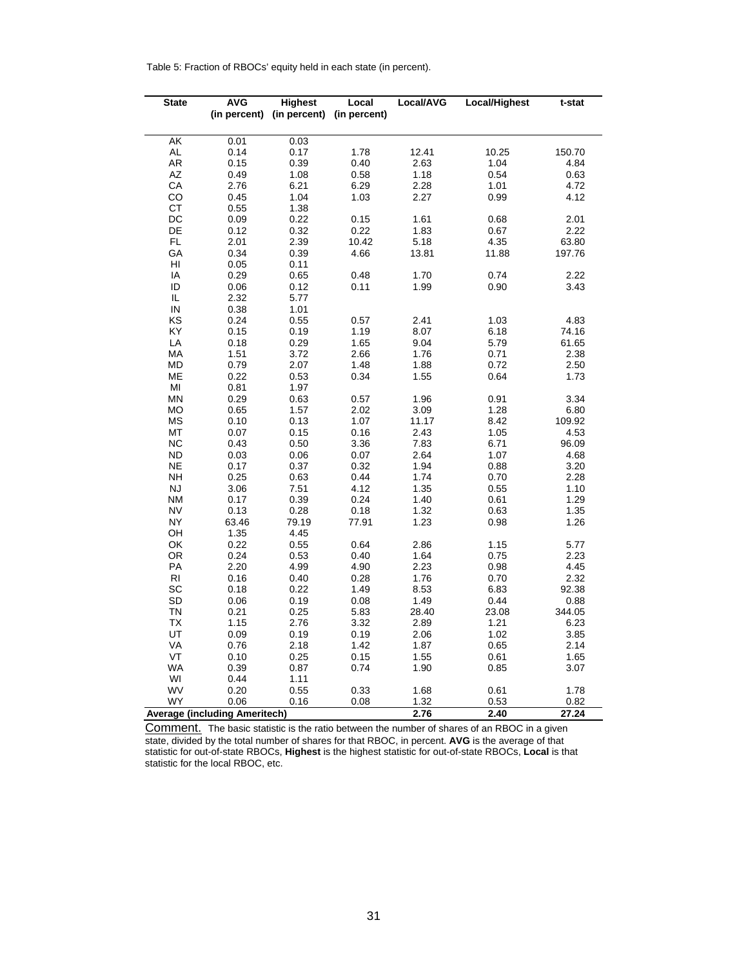Table 5: Fraction of RBOCs' equity held in each state (in percent).

| <b>State</b>           | <b>AVG</b>                           | <b>Highest</b>                         | Local | Local/AVG | Local/Highest | t-stat |
|------------------------|--------------------------------------|----------------------------------------|-------|-----------|---------------|--------|
|                        |                                      | (in percent) (in percent) (in percent) |       |           |               |        |
|                        |                                      |                                        |       |           |               |        |
| AK                     | 0.01                                 | 0.03                                   |       |           |               |        |
| AL                     | 0.14                                 | 0.17                                   | 1.78  | 12.41     | 10.25         | 150.70 |
| AR                     | 0.15                                 | 0.39                                   | 0.40  | 2.63      | 1.04          | 4.84   |
| AZ                     | 0.49                                 | 1.08                                   | 0.58  | 1.18      | 0.54          | 0.63   |
| CA                     | 2.76                                 | 6.21                                   | 6.29  | 2.28      | 1.01          | 4.72   |
| CO                     | 0.45                                 | 1.04                                   | 1.03  | 2.27      | 0.99          | 4.12   |
| CT                     | 0.55                                 | 1.38                                   |       |           |               |        |
| DC                     | 0.09                                 | 0.22                                   | 0.15  | 1.61      | 0.68          | 2.01   |
| DE                     | 0.12                                 | 0.32                                   | 0.22  | 1.83      | 0.67          | 2.22   |
| FL                     | 2.01                                 | 2.39                                   | 10.42 | 5.18      | 4.35          | 63.80  |
| GA                     | 0.34                                 | 0.39                                   | 4.66  | 13.81     | 11.88         | 197.76 |
| $\mathsf{H}\mathsf{I}$ | 0.05                                 | 0.11                                   |       |           |               |        |
| IA                     | 0.29                                 | 0.65                                   | 0.48  | 1.70      | 0.74          | 2.22   |
| ID                     | 0.06                                 | 0.12                                   | 0.11  | 1.99      | 0.90          | 3.43   |
| IL                     | 2.32                                 | 5.77                                   |       |           |               |        |
| ${\sf IN}$             | 0.38                                 | 1.01                                   |       |           |               |        |
| KS                     | 0.24                                 | 0.55                                   | 0.57  | 2.41      | 1.03          | 4.83   |
| KY                     | 0.15                                 | 0.19                                   | 1.19  | 8.07      | 6.18          | 74.16  |
| LA                     | 0.18                                 | 0.29                                   | 1.65  | 9.04      | 5.79          | 61.65  |
| MA                     | 1.51                                 | 3.72                                   | 2.66  | 1.76      | 0.71          | 2.38   |
| МD                     | 0.79                                 | 2.07                                   | 1.48  | 1.88      | 0.72          | 2.50   |
| ME                     | 0.22                                 | 0.53                                   | 0.34  | 1.55      | 0.64          | 1.73   |
| $\mathsf{MI}$          | 0.81                                 | 1.97                                   |       |           |               |        |
| <b>MN</b>              | 0.29                                 | 0.63                                   | 0.57  | 1.96      | 0.91          | 3.34   |
| <b>MO</b>              | 0.65                                 | 1.57                                   | 2.02  | 3.09      | 1.28          | 6.80   |
| MS                     | 0.10                                 | 0.13                                   | 1.07  | 11.17     | 8.42          | 109.92 |
| MT                     | 0.07                                 | 0.15                                   | 0.16  | 2.43      | 1.05          | 4.53   |
| NC                     | 0.43                                 | 0.50                                   | 3.36  | 7.83      | 6.71          | 96.09  |
| <b>ND</b>              | 0.03                                 | 0.06                                   | 0.07  | 2.64      | 1.07          | 4.68   |
| <b>NE</b>              | 0.17                                 | 0.37                                   | 0.32  | 1.94      | 0.88          | 3.20   |
| <b>NH</b>              | 0.25                                 | 0.63                                   | 0.44  | 1.74      | 0.70          | 2.28   |
| NJ                     | 3.06                                 | 7.51                                   | 4.12  | 1.35      | 0.55          | 1.10   |
| NΜ                     | 0.17                                 | 0.39                                   | 0.24  | 1.40      | 0.61          | 1.29   |
| <b>NV</b>              | 0.13                                 | 0.28                                   | 0.18  | 1.32      | 0.63          | 1.35   |
| <b>NY</b>              | 63.46                                | 79.19                                  | 77.91 | 1.23      | 0.98          | 1.26   |
| OH                     | 1.35                                 | 4.45                                   |       |           |               |        |
| OK                     | 0.22                                 | 0.55                                   | 0.64  | 2.86      | 1.15          | 5.77   |
| <b>OR</b>              | 0.24                                 | 0.53                                   | 0.40  | 1.64      | 0.75          | 2.23   |
| PA                     | 2.20                                 | 4.99                                   | 4.90  | 2.23      | 0.98          | 4.45   |
| <b>RI</b>              | 0.16                                 | 0.40                                   | 0.28  | 1.76      | 0.70          | 2.32   |
| SC                     | 0.18                                 | 0.22                                   | 1.49  | 8.53      | 6.83          | 92.38  |
| <b>SD</b>              | 0.06                                 | 0.19                                   | 0.08  | 1.49      | 0.44          | 0.88   |
| TN                     | 0.21                                 | 0.25                                   | 5.83  | 28.40     | 23.08         | 344.05 |
| ТX                     | 1.15                                 | 2.76                                   | 3.32  | 2.89      | 1.21          | 6.23   |
| UT                     | 0.09                                 | 0.19                                   | 0.19  | 2.06      | 1.02          | 3.85   |
| VA                     | 0.76                                 | 2.18                                   | 1.42  | 1.87      | 0.65          | 2.14   |
| VT                     | 0.10                                 | 0.25                                   | 0.15  | 1.55      | 0.61          | 1.65   |
| <b>WA</b>              | 0.39                                 | 0.87                                   | 0.74  | 1.90      | 0.85          | 3.07   |
| WI                     | 0.44                                 | 1.11                                   |       |           |               |        |
| WV                     | 0.20                                 | 0.55                                   | 0.33  | 1.68      | 0.61          | 1.78   |
| <b>WY</b>              | 0.06                                 | 0.16                                   | 0.08  | 1.32      | 0.53          | 0.82   |
|                        | <b>Average (including Ameritech)</b> |                                        |       | 2.76      | 2.40          | 27.24  |

Comment. The basic statistic is the ratio between the number of shares of an RBOC in a given state, divided by the total number of shares for that RBOC, in percent. **AVG** is the average of that statistic for out-of-state RBOCs, **Highest** is the highest statistic for out-of-state RBOCs, **Local** is that statistic for the local RBOC, etc.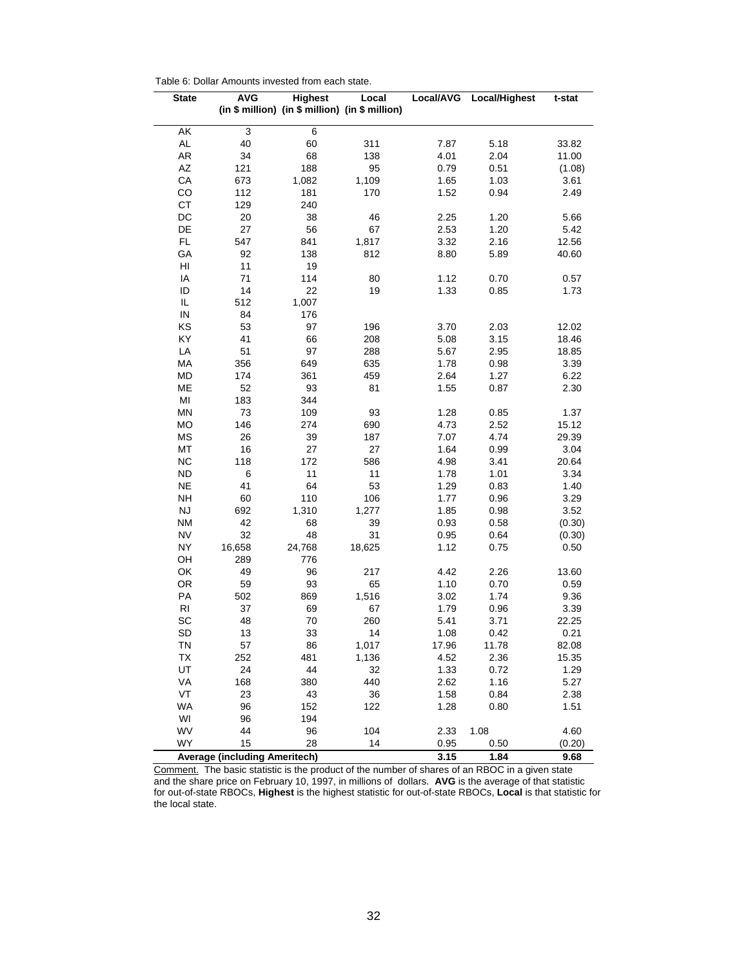| <b>State</b>           | AVG                                  | Highest   | Local                                           | Local/AVG    | Local/Highest | t-stat           |
|------------------------|--------------------------------------|-----------|-------------------------------------------------|--------------|---------------|------------------|
|                        |                                      |           | (in \$ million) (in \$ million) (in \$ million) |              |               |                  |
| AK                     | 3                                    | 6         |                                                 |              |               |                  |
| $\mathsf{AL}$          | 40                                   | 60        | 311                                             | 7.87         | 5.18          | 33.82            |
| AR                     | 34                                   | 68        | 138                                             | 4.01         | 2.04          | 11.00            |
| $\mathsf{A}\mathsf{Z}$ | 121                                  | 188       | 95                                              | 0.79         | 0.51          | (1.08)           |
| CA                     | 673                                  | 1,082     | 1,109                                           | 1.65         | 1.03          | 3.61             |
| CO                     | 112                                  | 181       | 170                                             | 1.52         | 0.94          | 2.49             |
| <b>CT</b>              | 129                                  | 240       |                                                 |              |               |                  |
| DC                     | 20                                   | 38        | 46                                              | 2.25         | 1.20          | 5.66             |
| DE                     | 27                                   | 56        | 67                                              | 2.53         | 1.20          | 5.42             |
| FL                     | 547                                  | 841       | 1,817                                           | 3.32         | 2.16          | 12.56            |
| GA                     | 92                                   | 138       | 812                                             | 8.80         | 5.89          | 40.60            |
| HI                     | 11                                   | 19        |                                                 |              |               |                  |
| IA                     | 71                                   | 114       | 80                                              | 1.12         | 0.70          | 0.57             |
| ID                     | 14                                   | 22        | 19                                              | 1.33         | 0.85          | 1.73             |
| IL                     | 512                                  | 1,007     |                                                 |              |               |                  |
| ${\sf IN}$             | 84                                   | 176       |                                                 |              |               |                  |
| KS                     | 53                                   | 97        | 196                                             | 3.70         | 2.03          | 12.02            |
| KY                     | 41                                   | 66        | 208                                             | 5.08         | 3.15          | 18.46            |
| LA                     | 51                                   | 97        | 288                                             | 5.67         | 2.95          | 18.85            |
| MA                     | 356                                  | 649       | 635                                             | 1.78         | 0.98          | 3.39             |
| MD                     | 174                                  | 361       | 459                                             | 2.64         | 1.27          | 6.22             |
| ME                     | 52                                   | 93        | 81                                              | 1.55         | 0.87          | 2.30             |
| MI                     | 183                                  | 344       |                                                 |              |               |                  |
| MN                     | 73                                   | 109       | 93                                              | 1.28         | 0.85          | 1.37             |
| MO                     | 146                                  | 274       | 690                                             | 4.73         | 2.52          | 15.12            |
| <b>MS</b>              | 26                                   | 39        | 187                                             | 7.07         | 4.74          | 29.39            |
| MT                     | 16                                   | 27        | 27                                              | 1.64         | 0.99          | 3.04             |
| <b>NC</b>              | 118                                  | 172       | 586                                             | 4.98         | 3.41          | 20.64            |
| <b>ND</b>              | 6                                    | 11        | 11                                              | 1.78         | 1.01          | 3.34             |
| <b>NE</b><br><b>NH</b> | 41<br>60                             | 64<br>110 | 53<br>106                                       | 1.29         | 0.83          | 1.40             |
| <b>NJ</b>              | 692                                  | 1,310     | 1,277                                           | 1.77         | 0.96<br>0.98  | 3.29             |
| <b>NM</b>              | 42                                   | 68        | 39                                              | 1.85<br>0.93 | 0.58          | 3.52             |
| <b>NV</b>              | 32                                   | 48        | 31                                              | 0.95         | 0.64          | (0.30)<br>(0.30) |
| <b>NY</b>              | 16,658                               | 24,768    | 18,625                                          | 1.12         | 0.75          | 0.50             |
| OH                     | 289                                  | 776       |                                                 |              |               |                  |
| OK                     | 49                                   | 96        | 217                                             | 4.42         | 2.26          | 13.60            |
| OR.                    | 59                                   | 93        | 65                                              | 1.10         | 0.70          | 0.59             |
| PA                     | 502                                  | 869       | 1,516                                           | 3.02         | 1.74          | 9.36             |
| R <sub>l</sub>         | 37                                   | 69        | 67                                              | 1.79         | 0.96          | 3.39             |
| SC                     | 48                                   | 70        | 260                                             | 5.41         | 3.71          | 22.25            |
| SD                     | 13                                   | 33        | 14                                              | 1.08         | 0.42          | 0.21             |
| <b>TN</b>              | 57                                   | 86        | 1,017                                           | 17.96        | 11.78         | 82.08            |
| TX                     | 252                                  | 481       | 1,136                                           | 4.52         | 2.36          | 15.35            |
| UT                     | 24                                   | 44        | 32                                              | 1.33         | 0.72          | 1.29             |
| VA                     | 168                                  | 380       | 440                                             | 2.62         | 1.16          | 5.27             |
| VT                     | 23                                   | 43        | 36                                              | 1.58         | 0.84          | 2.38             |
| <b>WA</b>              | 96                                   | 152       | 122                                             | 1.28         | 0.80          | 1.51             |
| WI                     | 96                                   | 194       |                                                 |              |               |                  |
| WV                     | 44                                   | 96        | 104                                             | 2.33         | 1.08          | 4.60             |
| WY                     | 15                                   | 28        | 14                                              | 0.95         | 0.50          | (0.20)           |
|                        | <b>Average (including Ameritech)</b> |           |                                                 | 3.15         | 1.84          | 9.68             |

Table 6: Dollar Amounts invested from each state.

Comment. The basic statistic is the product of the number of shares of an RBOC in a given state and the share price on February 10, 1997, in millions of dollars. **AVG** is the average of that statistic for out-of-state RBOCs, **Highest** is the highest statistic for out-of-state RBOCs, **Local** is that statistic for the local state.